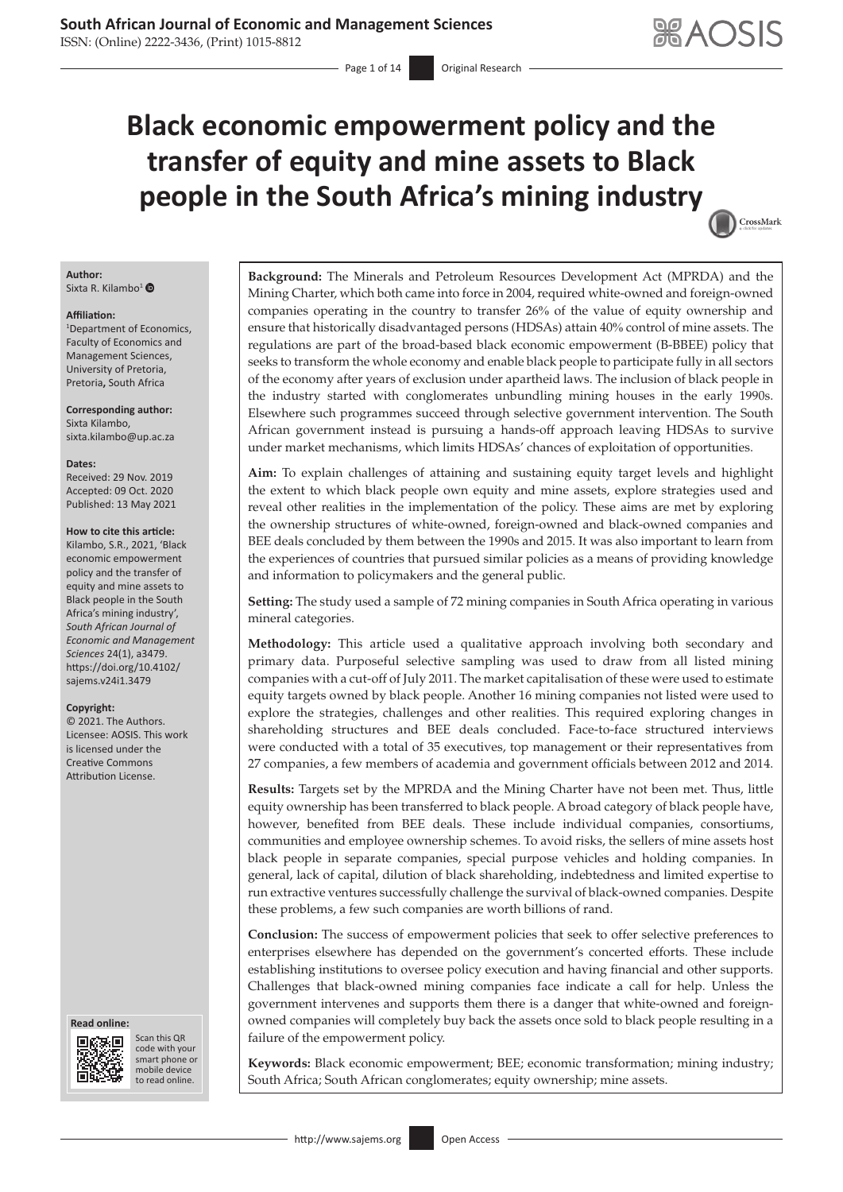ISSN: (Online) 2222-3436, (Print) 1015-8812

 $-$  Page 1 of 14 Original Research

# **Black economic empowerment policy and the transfer of equity and mine assets to Black people in the South Africa's mining industry**



#### **Author:** Sixta R. Kilambo<sup>[1](https://orcid.org/0000-0001-9433-9846)</sup>

#### **Affiliation:**

1 Department of Economics, Faculty of Economics and Management Sciences, University of Pretoria, Pretoria**,** South Africa

**Corresponding author:** Sixta Kilambo, [sixta.kilambo@up.ac.za](mailto:sixta.kilambo@up.ac.za)

#### **Dates:**

Received: 29 Nov. 2019 Accepted: 09 Oct. 2020 Published: 13 May 2021

#### **How to cite this article:**

Kilambo, S.R., 2021, 'Black economic empowerment policy and the transfer of equity and mine assets to Black people in the South Africa's mining industry', *South African Journal of Economic and Management Sciences* 24(1), a3479. [https://doi.org/10.4102/](https://doi.org/10.4102/sajems.v24i1.3479) [sajems.v24i1.3479](https://doi.org/10.4102/sajems.v24i1.3479)

#### **Copyright:**

© 2021. The Authors. Licensee: AOSIS. This work is licensed under the Creative Commons Attribution License.

#### **Read online: Read online:**



Scan this QR Scan this QR code with your smart phone or code with your smart phone or mobile device mobile device to read online. to read online.

**Background:** The Minerals and Petroleum Resources Development Act (MPRDA) and the Mining Charter, which both came into force in 2004, required white-owned and foreign-owned companies operating in the country to transfer 26% of the value of equity ownership and ensure that historically disadvantaged persons (HDSAs) attain 40% control of mine assets. The regulations are part of the broad-based black economic empowerment (B-BBEE) policy that seeks to transform the whole economy and enable black people to participate fully in all sectors of the economy after years of exclusion under apartheid laws. The inclusion of black people in the industry started with conglomerates unbundling mining houses in the early 1990s. Elsewhere such programmes succeed through selective government intervention. The South African government instead is pursuing a hands-off approach leaving HDSAs to survive under market mechanisms, which limits HDSAs' chances of exploitation of opportunities.

**Aim:** To explain challenges of attaining and sustaining equity target levels and highlight the extent to which black people own equity and mine assets, explore strategies used and reveal other realities in the implementation of the policy. These aims are met by exploring the ownership structures of white-owned, foreign-owned and black-owned companies and BEE deals concluded by them between the 1990s and 2015. It was also important to learn from the experiences of countries that pursued similar policies as a means of providing knowledge and information to policymakers and the general public.

**Setting:** The study used a sample of 72 mining companies in South Africa operating in various mineral categories.

**Methodology:** This article used a qualitative approach involving both secondary and primary data. Purposeful selective sampling was used to draw from all listed mining companies with a cut-off of July 2011. The market capitalisation of these were used to estimate equity targets owned by black people. Another 16 mining companies not listed were used to explore the strategies, challenges and other realities. This required exploring changes in shareholding structures and BEE deals concluded. Face-to-face structured interviews were conducted with a total of 35 executives, top management or their representatives from 27 companies, a few members of academia and government officials between 2012 and 2014.

**Results:** Targets set by the MPRDA and the Mining Charter have not been met. Thus, little equity ownership has been transferred to black people. A broad category of black people have, however, benefited from BEE deals. These include individual companies, consortiums, communities and employee ownership schemes. To avoid risks, the sellers of mine assets host black people in separate companies, special purpose vehicles and holding companies. In general, lack of capital, dilution of black shareholding, indebtedness and limited expertise to run extractive ventures successfully challenge the survival of black-owned companies. Despite these problems, a few such companies are worth billions of rand.

**Conclusion:** The success of empowerment policies that seek to offer selective preferences to enterprises elsewhere has depended on the government's concerted efforts. These include establishing institutions to oversee policy execution and having financial and other supports. Challenges that black-owned mining companies face indicate a call for help. Unless the government intervenes and supports them there is a danger that white-owned and foreignowned companies will completely buy back the assets once sold to black people resulting in a failure of the empowerment policy.

**Keywords:** Black economic empowerment; BEE; economic transformation; mining industry; South Africa; South African conglomerates; equity ownership; mine assets.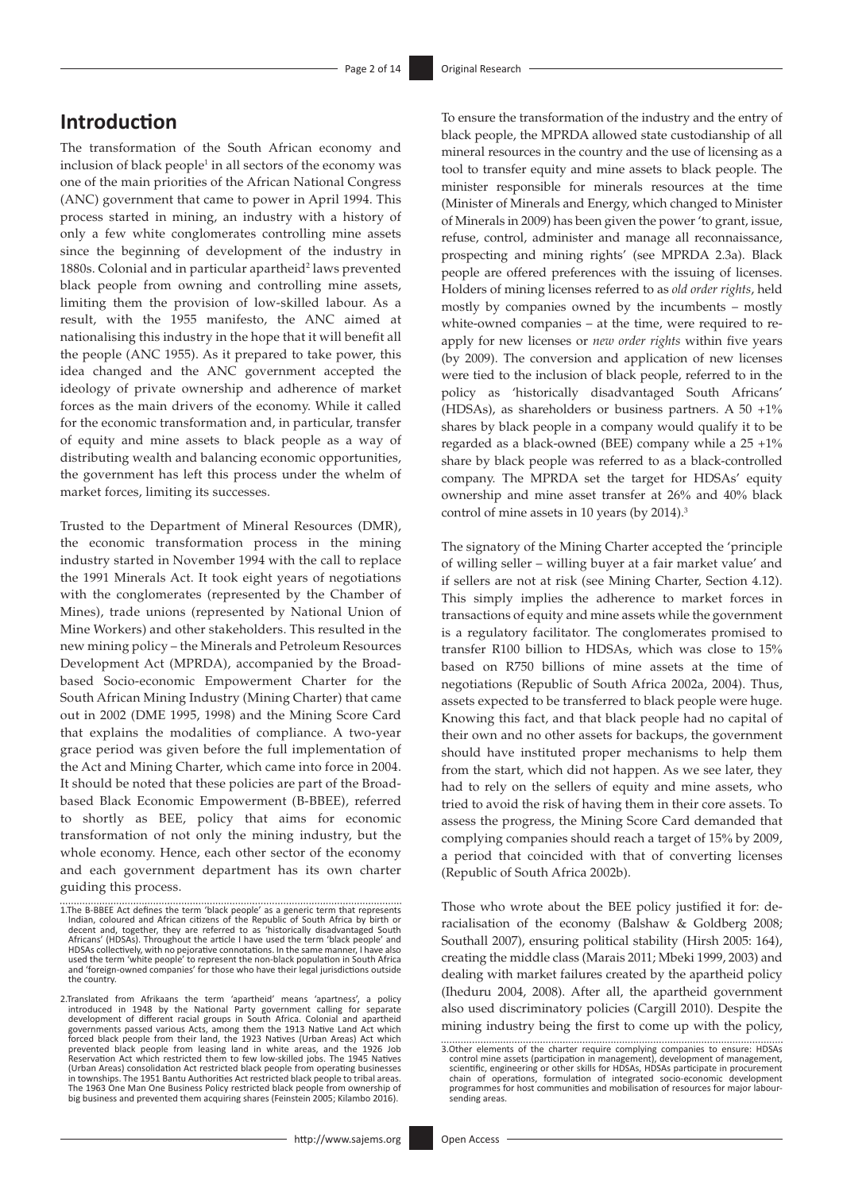### **Introduction**

The transformation of the South African economy and inclusion of black people<sup>1</sup> in all sectors of the economy was one of the main priorities of the African National Congress (ANC) government that came to power in April 1994. This process started in mining, an industry with a history of only a few white conglomerates controlling mine assets since the beginning of development of the industry in 1880s. Colonial and in particular apartheid<sup>2</sup> laws prevented black people from owning and controlling mine assets, limiting them the provision of low-skilled labour. As a result, with the 1955 manifesto, the ANC aimed at nationalising this industry in the hope that it will benefit all the people (ANC 1955). As it prepared to take power, this idea changed and the ANC government accepted the ideology of private ownership and adherence of market forces as the main drivers of the economy. While it called for the economic transformation and, in particular, transfer of equity and mine assets to black people as a way of distributing wealth and balancing economic opportunities, the government has left this process under the whelm of market forces, limiting its successes.

Trusted to the Department of Mineral Resources (DMR), the economic transformation process in the mining industry started in November 1994 with the call to replace the 1991 Minerals Act. It took eight years of negotiations with the conglomerates (represented by the Chamber of Mines), trade unions (represented by National Union of Mine Workers) and other stakeholders. This resulted in the new mining policy – the Minerals and Petroleum Resources Development Act (MPRDA), accompanied by the Broadbased Socio-economic Empowerment Charter for the South African Mining Industry (Mining Charter) that came out in 2002 (DME 1995, 1998) and the Mining Score Card that explains the modalities of compliance. A two-year grace period was given before the full implementation of the Act and Mining Charter, which came into force in 2004. It should be noted that these policies are part of the Broadbased Black Economic Empowerment (B-BBEE), referred to shortly as BEE, policy that aims for economic transformation of not only the mining industry, but the whole economy. Hence, each other sector of the economy and each government department has its own charter guiding this process.

To ensure the transformation of the industry and the entry of black people, the MPRDA allowed state custodianship of all mineral resources in the country and the use of licensing as a tool to transfer equity and mine assets to black people. The minister responsible for minerals resources at the time (Minister of Minerals and Energy, which changed to Minister of Minerals in 2009) has been given the power 'to grant, issue, refuse, control, administer and manage all reconnaissance, prospecting and mining rights' (see MPRDA 2.3a). Black people are offered preferences with the issuing of licenses. Holders of mining licenses referred to as *old order rights*, held mostly by companies owned by the incumbents – mostly white-owned companies – at the time, were required to reapply for new licenses or *new order rights* within five years (by 2009). The conversion and application of new licenses were tied to the inclusion of black people, referred to in the policy as 'historically disadvantaged South Africans' (HDSAs), as shareholders or business partners. A 50 +1% shares by black people in a company would qualify it to be regarded as a black-owned (BEE) company while a  $25 + 1\%$ share by black people was referred to as a black-controlled company. The MPRDA set the target for HDSAs' equity ownership and mine asset transfer at 26% and 40% black control of mine assets in 10 years (by 2014).<sup>3</sup>

The signatory of the Mining Charter accepted the 'principle of willing seller – willing buyer at a fair market value' and if sellers are not at risk (see Mining Charter, Section 4.12). This simply implies the adherence to market forces in transactions of equity and mine assets while the government is a regulatory facilitator. The conglomerates promised to transfer R100 billion to HDSAs, which was close to 15% based on R750 billions of mine assets at the time of negotiations (Republic of South Africa 2002a, 2004). Thus, assets expected to be transferred to black people were huge. Knowing this fact, and that black people had no capital of their own and no other assets for backups, the government should have instituted proper mechanisms to help them from the start, which did not happen. As we see later, they had to rely on the sellers of equity and mine assets, who tried to avoid the risk of having them in their core assets. To assess the progress, the Mining Score Card demanded that complying companies should reach a target of 15% by 2009, a period that coincided with that of converting licenses (Republic of South Africa 2002b).

Those who wrote about the BEE policy justified it for: deracialisation of the economy (Balshaw & Goldberg 2008; Southall 2007), ensuring political stability (Hirsh 2005: 164), creating the middle class (Marais 2011; Mbeki 1999, 2003) and dealing with market failures created by the apartheid policy (Iheduru 2004, 2008). After all, the apartheid government also used discriminatory policies (Cargill 2010). Despite the mining industry being the first to come up with the policy,

<sup>1.</sup>The B-BBEE Act defines the term 'black people' as a generic term that represents.<br>Indian, coloured and African citizens of the Republic of South Africa by birth<br>decent and, together, they are referred to as 'historically Africans' (HDSAs). Throughout the article I have used the term 'black people' and<br>HDSAs collectively, with no pejorative connotations. In the same manner, I have also<br>used the term 'white people' to represent the non-black the country.

<sup>2.</sup>Translated from Afrikaans the term 'apartheid' means 'apartness', a policy<br>introduced in 1948 by the National Party government calling for separate<br>development of different racial groups in South Africa. Colonial and apa governments passed various Acts, among them the 1913 Native Land Act which<br>forced black people from their land, the 1923 Natives (Urban Areas) Act which<br>prevented black people from leasing land in white areas, and the 1926 Reservation Act which restricted them to few low-skilled jobs. The 1945 Natives<br>(Urban Areas) consolidation Act restricted black people from operating businesses<br>in townships. The 1951 Bantu Authorities Act restricted blac The 1963 One Man One Business Policy restricted black people from ownership of big business and prevented them acquiring shares (Feinstein 2005; Kilambo 2016).

<sup>3.</sup>Other elements of the charter require complying companies to ensure: HDSAs control mine assets (participation in management), development of management,<br>scientific, engineering or other skills for HDSAs, HDSAs participate in procurement<br>chain of operations, formulation of integrated socio-economi programmes for host communities and mobilisation of resources for major laboursending areas.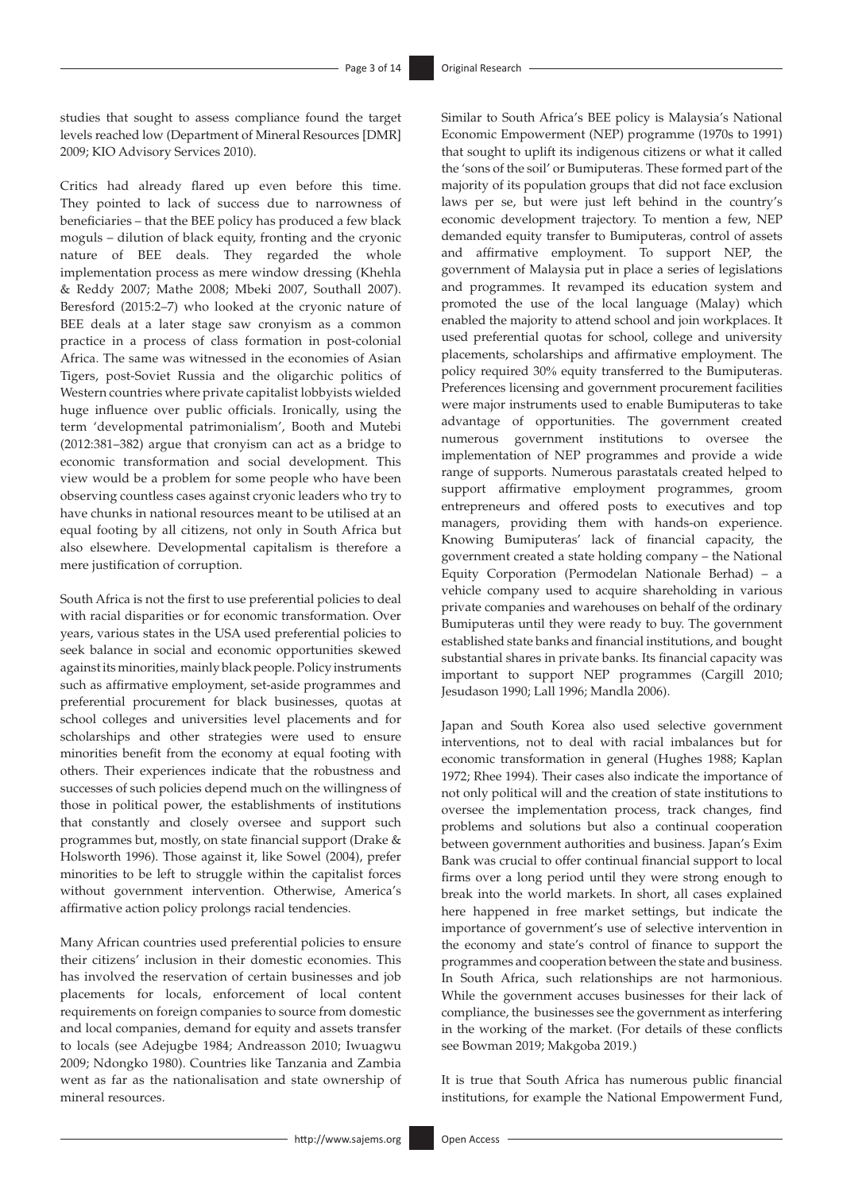studies that sought to assess compliance found the target levels reached low (Department of Mineral Resources [DMR] 2009; KIO Advisory Services 2010).

Critics had already flared up even before this time. They pointed to lack of success due to narrowness of beneficiaries – that the BEE policy has produced a few black moguls – dilution of black equity, fronting and the cryonic nature of BEE deals. They regarded the whole implementation process as mere window dressing (Khehla & Reddy 2007; Mathe 2008; Mbeki 2007, Southall 2007). Beresford (2015:2–7) who looked at the cryonic nature of BEE deals at a later stage saw cronyism as a common practice in a process of class formation in post-colonial Africa. The same was witnessed in the economies of Asian Tigers, post-Soviet Russia and the oligarchic politics of Western countries where private capitalist lobbyists wielded huge influence over public officials. Ironically, using the term 'developmental patrimonialism', Booth and Mutebi (2012:381–382) argue that cronyism can act as a bridge to economic transformation and social development. This view would be a problem for some people who have been observing countless cases against cryonic leaders who try to have chunks in national resources meant to be utilised at an equal footing by all citizens, not only in South Africa but also elsewhere. Developmental capitalism is therefore a mere justification of corruption.

South Africa is not the first to use preferential policies to deal with racial disparities or for economic transformation. Over years, various states in the USA used preferential policies to seek balance in social and economic opportunities skewed against its minorities, mainly black people. Policy instruments such as affirmative employment, set-aside programmes and preferential procurement for black businesses, quotas at school colleges and universities level placements and for scholarships and other strategies were used to ensure minorities benefit from the economy at equal footing with others. Their experiences indicate that the robustness and successes of such policies depend much on the willingness of those in political power, the establishments of institutions that constantly and closely oversee and support such programmes but, mostly, on state financial support (Drake & Holsworth 1996). Those against it, like Sowel (2004), prefer minorities to be left to struggle within the capitalist forces without government intervention. Otherwise, America's affirmative action policy prolongs racial tendencies.

Many African countries used preferential policies to ensure their citizens' inclusion in their domestic economies. This has involved the reservation of certain businesses and job placements for locals, enforcement of local content requirements on foreign companies to source from domestic and local companies, demand for equity and assets transfer to locals (see Adejugbe 1984; Andreasson 2010; Iwuagwu 2009; Ndongko 1980). Countries like Tanzania and Zambia went as far as the nationalisation and state ownership of mineral resources.

Similar to South Africa's BEE policy is Malaysia's National Economic Empowerment (NEP) programme (1970s to 1991) that sought to uplift its indigenous citizens or what it called the 'sons of the soil' or Bumiputeras. These formed part of the majority of its population groups that did not face exclusion laws per se, but were just left behind in the country's economic development trajectory. To mention a few, NEP demanded equity transfer to Bumiputeras, control of assets and affirmative employment. To support NEP, the government of Malaysia put in place a series of legislations and programmes. It revamped its education system and promoted the use of the local language (Malay) which enabled the majority to attend school and join workplaces. It used preferential quotas for school, college and university placements, scholarships and affirmative employment. The policy required 30% equity transferred to the Bumiputeras. Preferences licensing and government procurement facilities were major instruments used to enable Bumiputeras to take advantage of opportunities. The government created numerous government institutions to oversee the implementation of NEP programmes and provide a wide range of supports. Numerous parastatals created helped to support affirmative employment programmes, groom entrepreneurs and offered posts to executives and top managers, providing them with hands-on experience. Knowing Bumiputeras' lack of financial capacity, the government created a state holding company – the National Equity Corporation (Permodelan Nationale Berhad) – a vehicle company used to acquire shareholding in various private companies and warehouses on behalf of the ordinary Bumiputeras until they were ready to buy. The government established state banks and financial institutions, and bought substantial shares in private banks. Its financial capacity was important to support NEP programmes (Cargill 2010; Jesudason 1990; Lall 1996; Mandla 2006).

Japan and South Korea also used selective government interventions, not to deal with racial imbalances but for economic transformation in general (Hughes 1988; Kaplan 1972; Rhee 1994). Their cases also indicate the importance of not only political will and the creation of state institutions to oversee the implementation process, track changes, find problems and solutions but also a continual cooperation between government authorities and business. Japan's Exim Bank was crucial to offer continual financial support to local firms over a long period until they were strong enough to break into the world markets. In short, all cases explained here happened in free market settings, but indicate the importance of government's use of selective intervention in the economy and state's control of finance to support the programmes and cooperation between the state and business. In South Africa, such relationships are not harmonious. While the government accuses businesses for their lack of compliance, the businesses see the government as interfering in the working of the market. (For details of these conflicts see Bowman 2019; Makgoba 2019.)

It is true that South Africa has numerous public financial institutions, for example the National Empowerment Fund,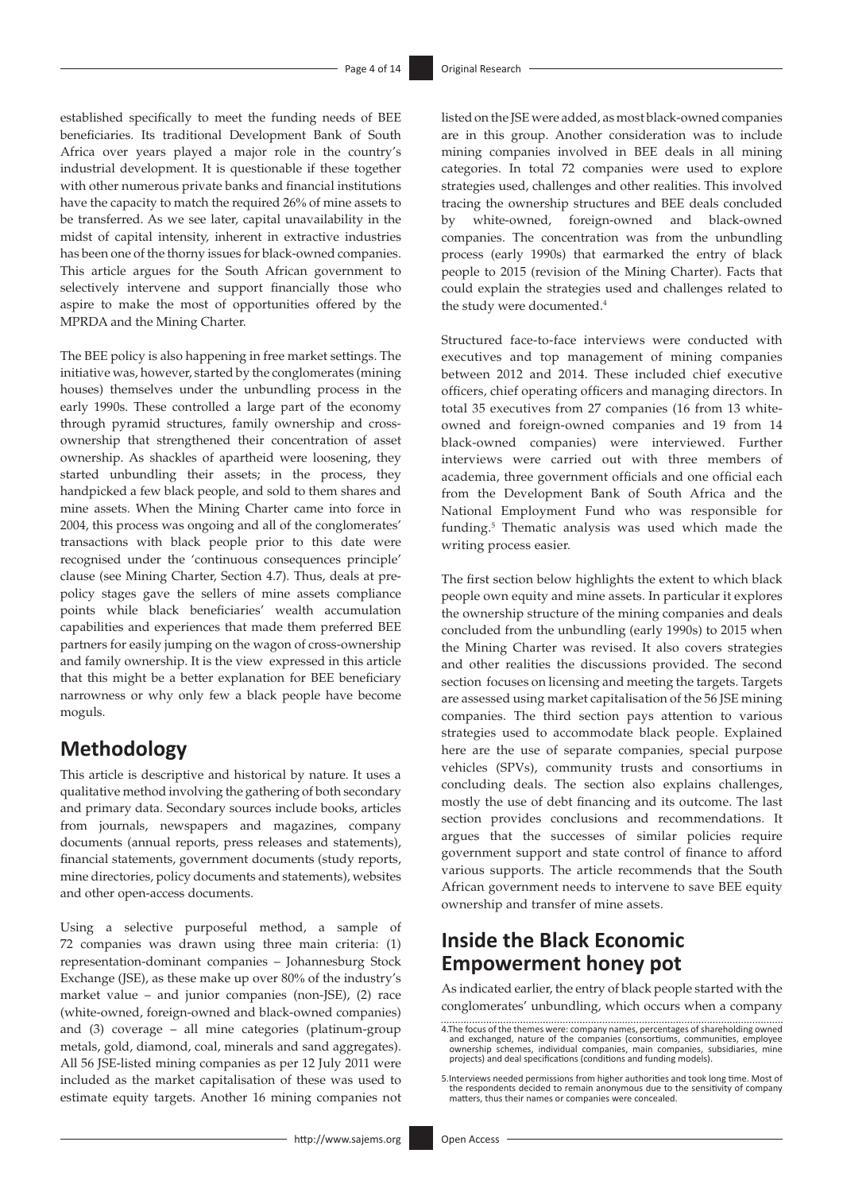established specifically to meet the funding needs of BEE beneficiaries. Its traditional Development Bank of South Africa over years played a major role in the country's industrial development. It is questionable if these together with other numerous private banks and financial institutions have the capacity to match the required 26% of mine assets to be transferred. As we see later, capital unavailability in the midst of capital intensity, inherent in extractive industries has been one of the thorny issues for black-owned companies. This article argues for the South African government to selectively intervene and support financially those who aspire to make the most of opportunities offered by the MPRDA and the Mining Charter.

The BEE policy is also happening in free market settings. The initiative was, however, started by the conglomerates (mining houses) themselves under the unbundling process in the early 1990s. These controlled a large part of the economy through pyramid structures, family ownership and crossownership that strengthened their concentration of asset ownership. As shackles of apartheid were loosening, they started unbundling their assets; in the process, they handpicked a few black people, and sold to them shares and mine assets. When the Mining Charter came into force in 2004, this process was ongoing and all of the conglomerates' transactions with black people prior to this date were recognised under the 'continuous consequences principle' clause (see Mining Charter, Section 4.7). Thus, deals at prepolicy stages gave the sellers of mine assets compliance points while black beneficiaries' wealth accumulation capabilities and experiences that made them preferred BEE partners for easily jumping on the wagon of cross-ownership and family ownership. It is the view expressed in this article that this might be a better explanation for BEE beneficiary narrowness or why only few a black people have become moguls.

### **Methodology**

This article is descriptive and historical by nature. It uses a qualitative method involving the gathering of both secondary and primary data. Secondary sources include books, articles from journals, newspapers and magazines, company documents (annual reports, press releases and statements), financial statements, government documents (study reports, mine directories, policy documents and statements), websites and other open-access documents.

Using a selective purposeful method, a sample of 72 companies was drawn using three main criteria: (1) representation-dominant companies – Johannesburg Stock Exchange (JSE), as these make up over 80% of the industry's market value – and junior companies (non-JSE), (2) race (white-owned, foreign-owned and black-owned companies) and (3) coverage – all mine categories (platinum-group metals, gold, diamond, coal, minerals and sand aggregates). All 56 JSE-listed mining companies as per 12 July 2011 were included as the market capitalisation of these was used to estimate equity targets. Another 16 mining companies not

listed on the JSE were added, as most black-owned companies are in this group. Another consideration was to include mining companies involved in BEE deals in all mining categories. In total 72 companies were used to explore strategies used, challenges and other realities. This involved tracing the ownership structures and BEE deals concluded by white-owned, foreign-owned and black-owned companies. The concentration was from the unbundling process (early 1990s) that earmarked the entry of black people to 2015 (revision of the Mining Charter). Facts that could explain the strategies used and challenges related to the study were documented.<sup>4</sup>

Structured face-to-face interviews were conducted with executives and top management of mining companies between 2012 and 2014. These included chief executive officers, chief operating officers and managing directors. In total 35 executives from 27 companies (16 from 13 whiteowned and foreign-owned companies and 19 from 14 black-owned companies) were interviewed. Further interviews were carried out with three members of academia, three government officials and one official each from the Development Bank of South Africa and the National Employment Fund who was responsible for funding.<sup>5</sup> Thematic analysis was used which made the writing process easier.

The first section below highlights the extent to which black people own equity and mine assets. In particular it explores the ownership structure of the mining companies and deals concluded from the unbundling (early 1990s) to 2015 when the Mining Charter was revised. It also covers strategies and other realities the discussions provided. The second section focuses on licensing and meeting the targets. Targets are assessed using market capitalisation of the 56 JSE mining companies. The third section pays attention to various strategies used to accommodate black people. Explained here are the use of separate companies, special purpose vehicles (SPVs), community trusts and consortiums in concluding deals. The section also explains challenges, mostly the use of debt financing and its outcome. The last section provides conclusions and recommendations. It argues that the successes of similar policies require government support and state control of finance to afford various supports. The article recommends that the South African government needs to intervene to save BEE equity ownership and transfer of mine assets.

### **Inside the Black Economic Empowerment honey pot**

As indicated earlier, the entry of black people started with the conglomerates' unbundling, which occurs when a company

<sup>4.</sup>The focus of the themes were: company names, percentages of shareholding owned and exchanged, nature of the companies (consortiums, communities, employee ownership schemes, individual companies, main companies, subsidiaries, mine projects) and deal specifications (conditions and funding models).

<sup>5.</sup>Interviews needed permissions from higher authorities and took long time. Most of the respondents decided to remain anonymous due to the sensitivity of company matters, thus their names or companies were concealed.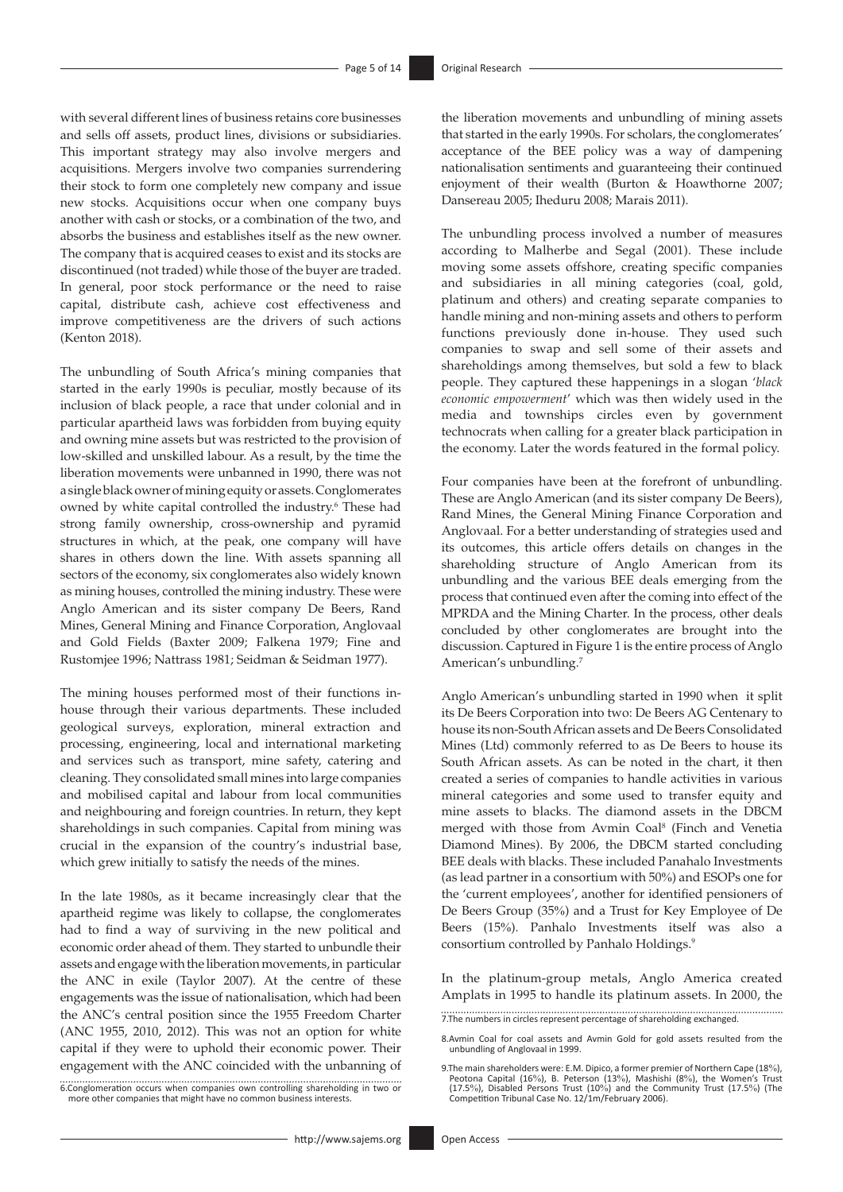with several different lines of business retains core businesses and sells off assets, product lines, divisions or subsidiaries. This important strategy may also involve mergers and acquisitions. Mergers involve two companies surrendering their stock to form one completely new company and issue new stocks. Acquisitions occur when one company buys another with cash or stocks, or a combination of the two, and absorbs the business and establishes itself as the new owner. The company that is acquired ceases to exist and its stocks are discontinued (not traded) while those of the buyer are traded. In general, poor stock performance or the need to raise capital, distribute cash, achieve cost effectiveness and improve competitiveness are the drivers of such actions (Kenton 2018).

The unbundling of South Africa's mining companies that started in the early 1990s is peculiar, mostly because of its inclusion of black people, a race that under colonial and in particular apartheid laws was forbidden from buying equity and owning mine assets but was restricted to the provision of low-skilled and unskilled labour. As a result, by the time the liberation movements were unbanned in 1990, there was not a single black owner of mining equity or assets. Conglomerates owned by white capital controlled the industry.<sup>6</sup> These had strong family ownership, cross-ownership and pyramid structures in which, at the peak, one company will have shares in others down the line. With assets spanning all sectors of the economy, six conglomerates also widely known as mining houses, controlled the mining industry. These were Anglo American and its sister company De Beers, Rand Mines, General Mining and Finance Corporation, Anglovaal and Gold Fields (Baxter 2009; Falkena 1979; Fine and Rustomjee 1996; Nattrass 1981; Seidman & Seidman 1977).

The mining houses performed most of their functions inhouse through their various departments. These included geological surveys, exploration, mineral extraction and processing, engineering, local and international marketing and services such as transport, mine safety, catering and cleaning. They consolidated small mines into large companies and mobilised capital and labour from local communities and neighbouring and foreign countries. In return, they kept shareholdings in such companies. Capital from mining was crucial in the expansion of the country's industrial base, which grew initially to satisfy the needs of the mines.

In the late 1980s, as it became increasingly clear that the apartheid regime was likely to collapse, the conglomerates had to find a way of surviving in the new political and economic order ahead of them. They started to unbundle their assets and engage with the liberation movements, in particular the ANC in exile (Taylor 2007). At the centre of these engagements was the issue of nationalisation, which had been the ANC's central position since the 1955 Freedom Charter (ANC 1955, 2010, 2012). This was not an option for white capital if they were to uphold their economic power. Their engagement with the ANC coincided with the unbanning of

6.Conglomeration occurs when companies own controlling shareholding in two or more other companies that might have no common business interests.

the liberation movements and unbundling of mining assets that started in the early 1990s. For scholars, the conglomerates' acceptance of the BEE policy was a way of dampening nationalisation sentiments and guaranteeing their continued enjoyment of their wealth (Burton & Hoawthorne 2007; Dansereau 2005; Iheduru 2008; Marais 2011).

The unbundling process involved a number of measures according to Malherbe and Segal (2001). These include moving some assets offshore, creating specific companies and subsidiaries in all mining categories (coal, gold, platinum and others) and creating separate companies to handle mining and non-mining assets and others to perform functions previously done in-house. They used such companies to swap and sell some of their assets and shareholdings among themselves, but sold a few to black people. They captured these happenings in a slogan '*black economic empowerment*' which was then widely used in the media and townships circles even by government technocrats when calling for a greater black participation in the economy. Later the words featured in the formal policy.

Four companies have been at the forefront of unbundling. These are Anglo American (and its sister company De Beers), Rand Mines, the General Mining Finance Corporation and Anglovaal. For a better understanding of strategies used and its outcomes, this article offers details on changes in the shareholding structure of Anglo American from its unbundling and the various BEE deals emerging from the process that continued even after the coming into effect of the MPRDA and the Mining Charter. In the process, other deals concluded by other conglomerates are brought into the discussion. Captured in Figure 1 is the entire process of Anglo American's unbundling.7

Anglo American's unbundling started in 1990 when it split its De Beers Corporation into two: De Beers AG Centenary to house its non-South African assets and De Beers Consolidated Mines (Ltd) commonly referred to as De Beers to house its South African assets. As can be noted in the chart, it then created a series of companies to handle activities in various mineral categories and some used to transfer equity and mine assets to blacks. The diamond assets in the DBCM merged with those from Avmin Coal<sup>8</sup> (Finch and Venetia Diamond Mines). By 2006, the DBCM started concluding BEE deals with blacks. These included Panahalo Investments (as lead partner in a consortium with 50%) and ESOPs one for the 'current employees', another for identified pensioners of De Beers Group (35%) and a Trust for Key Employee of De Beers (15%). Panhalo Investments itself was also a consortium controlled by Panhalo Holdings.9

In the platinum-group metals, Anglo America created Amplats in 1995 to handle its platinum assets. In 2000, the

<sup>7.</sup>The numbers in circles represent percentage of shareholding exchanged.

<sup>8.</sup>Avmin Coal for coal assets and Avmin Gold for gold assets resulted from the unbundling of Anglovaal in 1999.

<sup>9.</sup> The main shareholders were: E.M. Dipico, a former premier of Northern Cape (18%), Peotona Capital (16%), B. Peterson (13%), Mashishi (8%), the Women's Trust (17.5%), Disabled Persons Trust (10%) and the Community Trust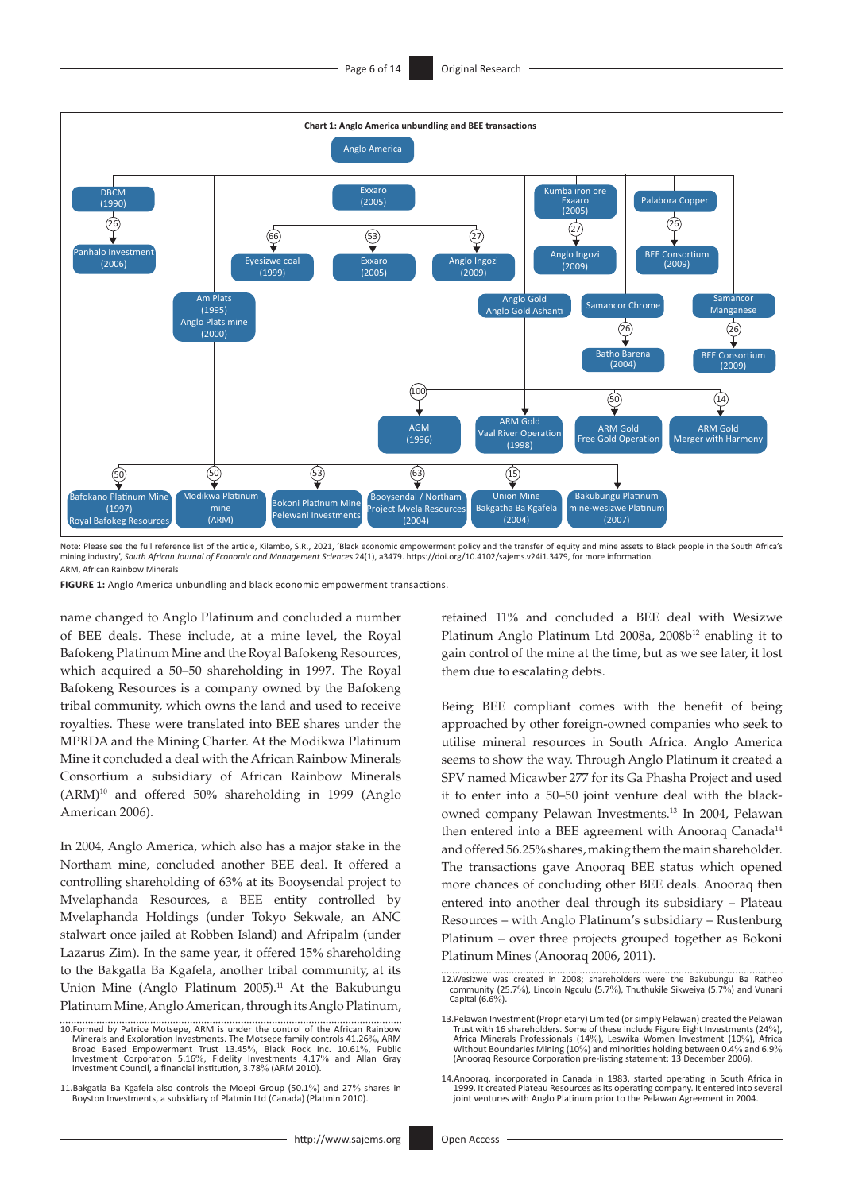

Note: Please see the full reference list of the article, Kilambo, S.R., 2021, 'Black economic empowerment policy and the transfer of equity and mine assets to Black people in the South Africa's<br>mining industry', So*uth Afr* ARM, African Rainbow Minerals

**FIGURE 1:** Anglo America unbundling and black economic empowerment transactions.

name changed to Anglo Platinum and concluded a number of BEE deals. These include, at a mine level, the Royal Bafokeng Platinum Mine and the Royal Bafokeng Resources, which acquired a 50–50 shareholding in 1997. The Royal Bafokeng Resources is a company owned by the Bafokeng tribal community, which owns the land and used to receive royalties. These were translated into BEE shares under the MPRDA and the Mining Charter. At the Modikwa Platinum Mine it concluded a deal with the African Rainbow Minerals Consortium a subsidiary of African Rainbow Minerals (ARM)10 and offered 50% shareholding in 1999 (Anglo American 2006).

In 2004, Anglo America, which also has a major stake in the Northam mine, concluded another BEE deal. It offered a controlling shareholding of 63% at its Booysendal project to Mvelaphanda Resources, a BEE entity controlled by Mvelaphanda Holdings (under Tokyo Sekwale, an ANC stalwart once jailed at Robben Island) and Afripalm (under Lazarus Zim). In the same year, it offered 15% shareholding to the Bakgatla Ba Kgafela, another tribal community, at its Union Mine (Anglo Platinum 2005).<sup>11</sup> At the Bakubungu Platinum Mine, Anglo American, through its Anglo Platinum, retained 11% and concluded a BEE deal with Wesizwe Platinum Anglo Platinum Ltd 2008a, 2008b<sup>12</sup> enabling it to gain control of the mine at the time, but as we see later, it lost them due to escalating debts.

Being BEE compliant comes with the benefit of being approached by other foreign-owned companies who seek to utilise mineral resources in South Africa. Anglo America seems to show the way. Through Anglo Platinum it created a SPV named Micawber 277 for its Ga Phasha Project and used it to enter into a 50–50 joint venture deal with the blackowned company Pelawan Investments.13 In 2004, Pelawan then entered into a BEE agreement with Anooraq Canada<sup>14</sup> and offered 56.25% shares, making them the main shareholder. The transactions gave Anooraq BEE status which opened more chances of concluding other BEE deals. Anooraq then entered into another deal through its subsidiary – Plateau Resources – with Anglo Platinum's subsidiary – Rustenburg Platinum – over three projects grouped together as Bokoni Platinum Mines (Anooraq 2006, 2011).

<sup>10.</sup>Formed by Patrice Motsepe, ARM is under the control of the African Rainbow Minerals and Exploration Investments. The Motsepe family controls 41.26%, ARM Broad Based Empowerment Trust 13.45%, Black Rock Inc. 10.61%, Public Investment Corporation 5.16%, Fidelity Investments 4.17% and Allan Gray Investment Council, a financial institution, 3.78% (ARM 2010).

<sup>11.</sup>Bakgatla Ba Kgafela also controls the Moepi Group (50.1%) and 27% shares in Boyston Investments, a subsidiary of Platmin Ltd (Canada) (Platmin 2010).

<sup>12.</sup>Wesizwe was created in 2008; shareholders were the Bakubungu Ba Ratheo community (25.7%), Lincoln Ngculu (5.7%), Thuthukile Sikweiya (5.7%) and Vunani Capital (6.6%).

<sup>13.</sup>Pelawan Investment (Proprietary) Limited (or simply Pelawan) created the Pelawan Trust with 16 shareholders. Some of these include Figure Eight Investments (24%), Africa Minerals Professionals (14%), Leswika Women Investment (10%), Africa Without Boundaries Mining (10%) and minorities holding between 0.4% and 6.9% (Anooraq Resource Corporation pre-listing statement; 13 December 2006).

<sup>14.</sup>Anooraq, incorporated in Canada in 1983, started operating in South Africa in 1999. It created Plateau Resources as its operating company. It entered into several joint ventures with Anglo Platinum prior to the Pelawan Agreement in 2004.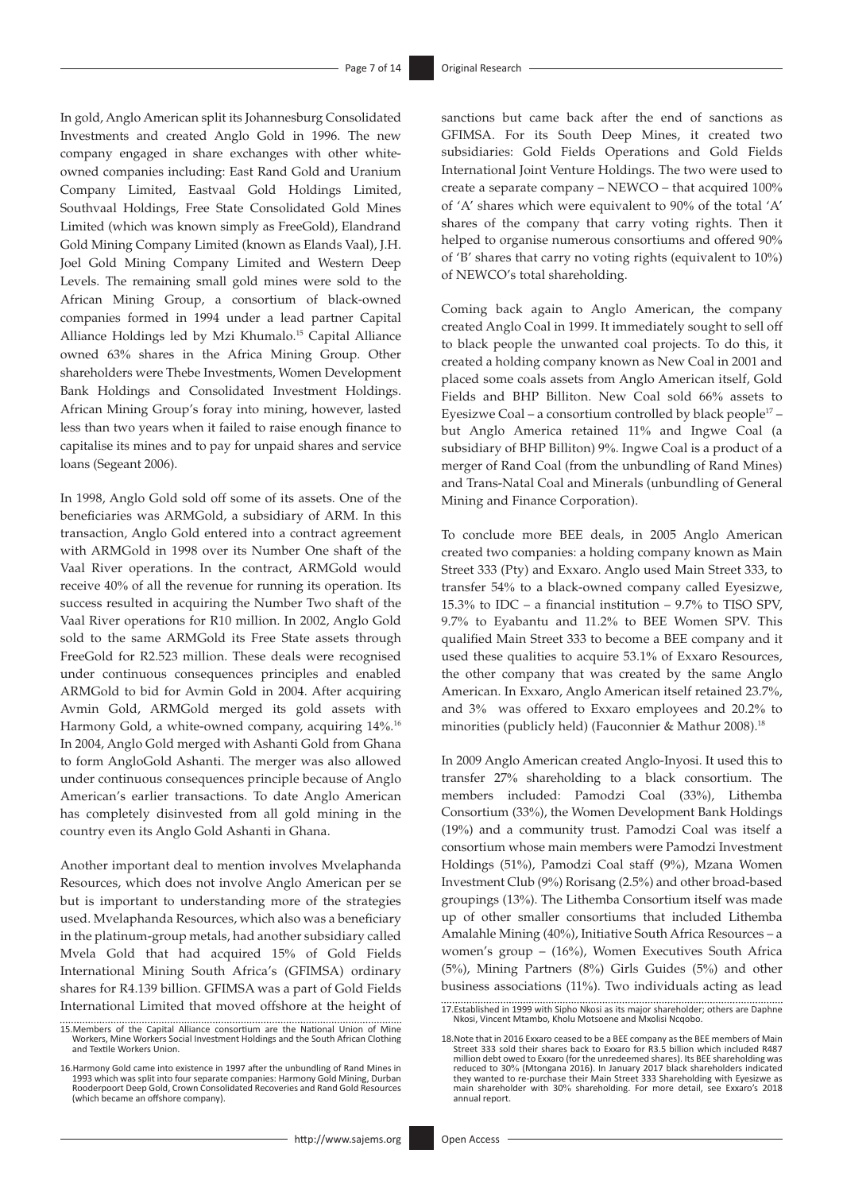In gold, Anglo American split its Johannesburg Consolidated Investments and created Anglo Gold in 1996. The new company engaged in share exchanges with other whiteowned companies including: East Rand Gold and Uranium Company Limited, Eastvaal Gold Holdings Limited, Southvaal Holdings, Free State Consolidated Gold Mines Limited (which was known simply as FreeGold), Elandrand Gold Mining Company Limited (known as Elands Vaal), J.H. Joel Gold Mining Company Limited and Western Deep Levels. The remaining small gold mines were sold to the African Mining Group, a consortium of black-owned companies formed in 1994 under a lead partner Capital Alliance Holdings led by Mzi Khumalo.15 Capital Alliance owned 63% shares in the Africa Mining Group. Other shareholders were Thebe Investments, Women Development Bank Holdings and Consolidated Investment Holdings. African Mining Group's foray into mining, however, lasted less than two years when it failed to raise enough finance to capitalise its mines and to pay for unpaid shares and service loans (Segeant 2006).

In 1998, Anglo Gold sold off some of its assets. One of the beneficiaries was ARMGold, a subsidiary of ARM. In this transaction, Anglo Gold entered into a contract agreement with ARMGold in 1998 over its Number One shaft of the Vaal River operations. In the contract, ARMGold would receive 40% of all the revenue for running its operation. Its success resulted in acquiring the Number Two shaft of the Vaal River operations for R10 million. In 2002, Anglo Gold sold to the same ARMGold its Free State assets through FreeGold for R2.523 million. These deals were recognised under continuous consequences principles and enabled ARMGold to bid for Avmin Gold in 2004. After acquiring Avmin Gold, ARMGold merged its gold assets with Harmony Gold, a white-owned company, acquiring 14%. 16 In 2004, Anglo Gold merged with Ashanti Gold from Ghana to form AngloGold Ashanti. The merger was also allowed under continuous consequences principle because of Anglo American's earlier transactions. To date Anglo American has completely disinvested from all gold mining in the country even its Anglo Gold Ashanti in Ghana.

Another important deal to mention involves Mvelaphanda Resources, which does not involve Anglo American per se but is important to understanding more of the strategies used. Mvelaphanda Resources, which also was a beneficiary in the platinum-group metals, had another subsidiary called Mvela Gold that had acquired 15% of Gold Fields International Mining South Africa's (GFIMSA) ordinary shares for R4.139 billion. GFIMSA was a part of Gold Fields International Limited that moved offshore at the height of sanctions but came back after the end of sanctions as GFIMSA. For its South Deep Mines, it created two subsidiaries: Gold Fields Operations and Gold Fields International Joint Venture Holdings. The two were used to create a separate company – NEWCO – that acquired 100% of 'A' shares which were equivalent to 90% of the total 'A' shares of the company that carry voting rights. Then it helped to organise numerous consortiums and offered 90% of 'B' shares that carry no voting rights (equivalent to 10%) of NEWCO's total shareholding.

Coming back again to Anglo American, the company created Anglo Coal in 1999. It immediately sought to sell off to black people the unwanted coal projects. To do this, it created a holding company known as New Coal in 2001 and placed some coals assets from Anglo American itself, Gold Fields and BHP Billiton. New Coal sold 66% assets to Eyesizwe Coal – a consortium controlled by black people17 – but Anglo America retained 11% and Ingwe Coal (a subsidiary of BHP Billiton) 9%. Ingwe Coal is a product of a merger of Rand Coal (from the unbundling of Rand Mines) and Trans-Natal Coal and Minerals (unbundling of General Mining and Finance Corporation).

To conclude more BEE deals, in 2005 Anglo American created two companies: a holding company known as Main Street 333 (Pty) and Exxaro. Anglo used Main Street 333, to transfer 54% to a black-owned company called Eyesizwe, 15.3% to IDC – a financial institution – 9.7% to TISO SPV, 9.7% to Eyabantu and 11.2% to BEE Women SPV. This qualified Main Street 333 to become a BEE company and it used these qualities to acquire 53.1% of Exxaro Resources, the other company that was created by the same Anglo American. In Exxaro, Anglo American itself retained 23.7%, and 3% was offered to Exxaro employees and 20.2% to minorities (publicly held) (Fauconnier & Mathur 2008).<sup>18</sup>

In 2009 Anglo American created Anglo-Inyosi. It used this to transfer 27% shareholding to a black consortium. The members included: Pamodzi Coal (33%), Lithemba Consortium (33%), the Women Development Bank Holdings (19%) and a community trust. Pamodzi Coal was itself a consortium whose main members were Pamodzi Investment Holdings (51%), Pamodzi Coal staff (9%), Mzana Women Investment Club (9%) Rorisang (2.5%) and other broad-based groupings (13%). The Lithemba Consortium itself was made up of other smaller consortiums that included Lithemba Amalahle Mining (40%), Initiative South Africa Resources – a women's group – (16%), Women Executives South Africa (5%), Mining Partners (8%) Girls Guides (5%) and other business associations (11%). Two individuals acting as lead

<sup>15.</sup>Members of the Capital Alliance consortium are the National Union of Mine Workers, Mine Workers Social Investment Holdings and the South African Clothing and Textile Workers Union.

<sup>16.</sup>Harmony Gold came into existence in 1997 after the unbundling of Rand Mines in 1993 which was split into four separate companies: Harmony Gold Mining, Durban Rooderpoort Deep Gold, Crown Consolidated Recoveries and Rand Gold Resources (which became an offshore company).

<sup>17.</sup>Established in 1999 with Sipho Nkosi as its major shareholder; others are Daphne Nkosi, Vincent Mtambo, Kholu Motsoene and Mxolisi Ncqobo.

<sup>18.</sup>Note that in 2016 Exxaro ceased to be a BEE company as the BEE members of Main Street 333 sold their shares back to Exxaro for R3.5 billion which included R487 million debt owed to Exxaro (for the unredeemed shares). Its BEE shareholding was reduced to 30% (Mtongana 2016). In January 2017 black shareholders indicated they wanted to re-purchase their Main Street 333 Shareholding with Eyesizwe as main shareholder with 30% shareholding. For more detail, see Exxaro's 2018 annual report.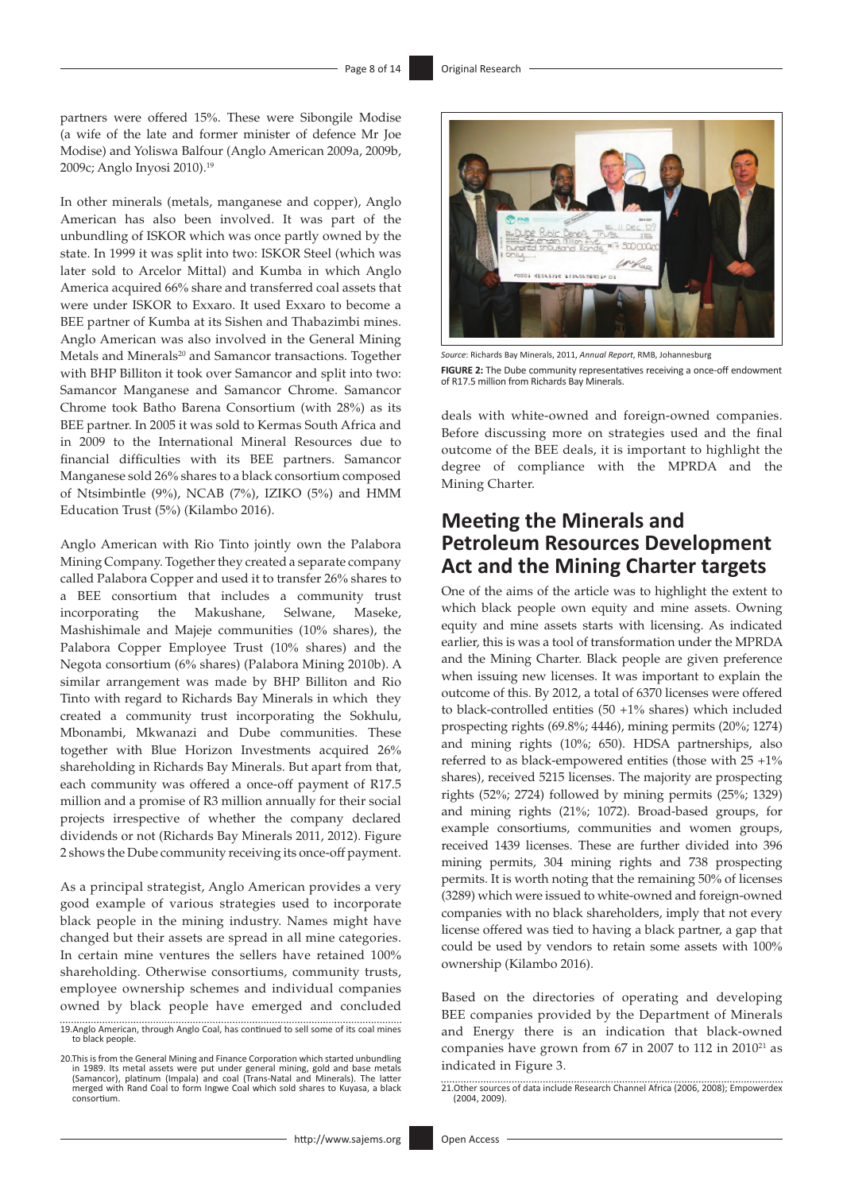partners were offered 15%. These were Sibongile Modise (a wife of the late and former minister of defence Mr Joe Modise) and Yoliswa Balfour (Anglo American 2009a, 2009b, 2009c; Anglo Inyosi 2010).19

In other minerals (metals, manganese and copper), Anglo American has also been involved. It was part of the unbundling of ISKOR which was once partly owned by the state. In 1999 it was split into two: ISKOR Steel (which was later sold to Arcelor Mittal) and Kumba in which Anglo America acquired 66% share and transferred coal assets that were under ISKOR to Exxaro. It used Exxaro to become a BEE partner of Kumba at its Sishen and Thabazimbi mines. Anglo American was also involved in the General Mining Metals and Minerals<sup>20</sup> and Samancor transactions. Together with BHP Billiton it took over Samancor and split into two: Samancor Manganese and Samancor Chrome. Samancor Chrome took Batho Barena Consortium (with 28%) as its BEE partner. In 2005 it was sold to Kermas South Africa and in 2009 to the International Mineral Resources due to financial difficulties with its BEE partners. Samancor Manganese sold 26% shares to a black consortium composed of Ntsimbintle (9%), NCAB (7%), IZIKO (5%) and HMM Education Trust (5%) (Kilambo 2016).

Anglo American with Rio Tinto jointly own the Palabora Mining Company. Together they created a separate company called Palabora Copper and used it to transfer 26% shares to a BEE consortium that includes a community trust incorporating the Makushane, Selwane, Maseke, Mashishimale and Majeje communities (10% shares), the Palabora Copper Employee Trust (10% shares) and the Negota consortium (6% shares) (Palabora Mining 2010b). A similar arrangement was made by BHP Billiton and Rio Tinto with regard to Richards Bay Minerals in which they created a community trust incorporating the Sokhulu, Mbonambi, Mkwanazi and Dube communities. These together with Blue Horizon Investments acquired 26% shareholding in Richards Bay Minerals. But apart from that, each community was offered a once-off payment of R17.5 million and a promise of R3 million annually for their social projects irrespective of whether the company declared dividends or not (Richards Bay Minerals 2011, 2012). Figure 2 shows the Dube community receiving its once-off payment.

As a principal strategist, Anglo American provides a very good example of various strategies used to incorporate black people in the mining industry. Names might have changed but their assets are spread in all mine categories. In certain mine ventures the sellers have retained 100% shareholding. Otherwise consortiums, community trusts, employee ownership schemes and individual companies owned by black people have emerged and concluded

19.Anglo American, through Anglo Coal, has continued to sell some of its coal mines to black people.

20.This is from the General Mining and Finance Corporation which started unbundling in 1989. Its metal assets were put under general mining, gold and base metals (Samancor), platinum (Impala) and coal (Trans-Natal and Minerals). The latter merged with Rand Coal to form Ingwe Coal which sold shares to Kuyasa, a black consortium.



*Source*: Richards Bay Minerals, 2011, *Annual Report*, RMB, Johannesburg **FIGURE 2:** The Dube community representatives receiving a once-off endowment of R17.5 million from Richards Bay Minerals.

deals with white-owned and foreign-owned companies. Before discussing more on strategies used and the final outcome of the BEE deals, it is important to highlight the degree of compliance with the MPRDA and the Mining Charter.

### **Meeting the Minerals and Petroleum Resources Development Act and the Mining Charter targets**

One of the aims of the article was to highlight the extent to which black people own equity and mine assets. Owning equity and mine assets starts with licensing. As indicated earlier, this is was a tool of transformation under the MPRDA and the Mining Charter. Black people are given preference when issuing new licenses. It was important to explain the outcome of this. By 2012, a total of 6370 licenses were offered to black-controlled entities (50 +1% shares) which included prospecting rights (69.8%; 4446), mining permits (20%; 1274) and mining rights (10%; 650). HDSA partnerships, also referred to as black-empowered entities (those with 25 +1% shares), received 5215 licenses. The majority are prospecting rights (52%; 2724) followed by mining permits (25%; 1329) and mining rights (21%; 1072). Broad-based groups, for example consortiums, communities and women groups, received 1439 licenses. These are further divided into 396 mining permits, 304 mining rights and 738 prospecting permits. It is worth noting that the remaining 50% of licenses (3289) which were issued to white-owned and foreign-owned companies with no black shareholders, imply that not every license offered was tied to having a black partner, a gap that could be used by vendors to retain some assets with 100% ownership (Kilambo 2016).

Based on the directories of operating and developing BEE companies provided by the Department of Minerals and Energy there is an indication that black-owned companies have grown from 67 in 2007 to 112 in 2010<sup>21</sup> as indicated in Figure 3.

21.Other sources of data include Research Channel Africa (2006, 2008); Empowerdex (2004, 2009).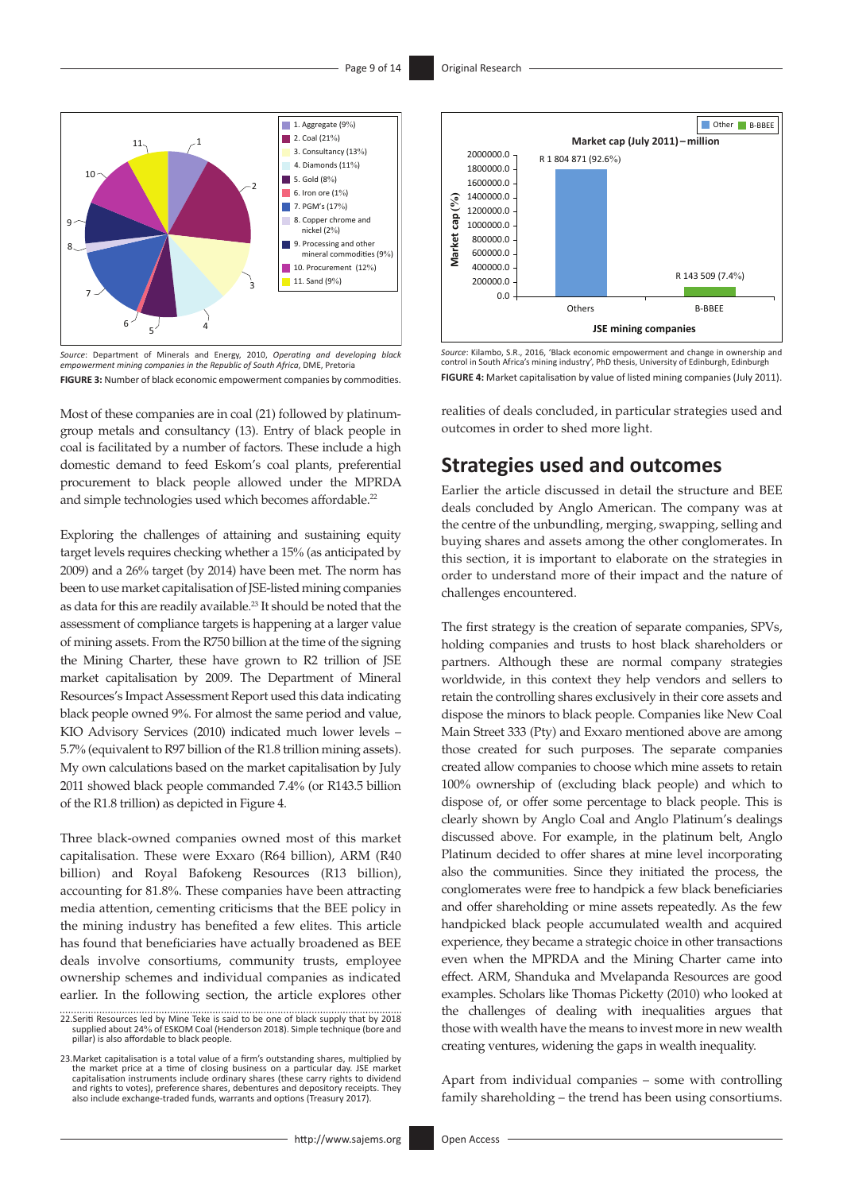

*Source*: Department of Minerals and Energy, 2010, *Operating and developing black empowerment mining companies in the Republic of South Africa*, DME, Pretoria **FIGURE 3:** Number of black economic empowerment companies by commodities.

Most of these companies are in coal (21) followed by platinumgroup metals and consultancy (13). Entry of black people in coal is facilitated by a number of factors. These include a high domestic demand to feed Eskom's coal plants, preferential procurement to black people allowed under the MPRDA and simple technologies used which becomes affordable.<sup>22</sup>

Exploring the challenges of attaining and sustaining equity target levels requires checking whether a 15% (as anticipated by 2009) and a 26% target (by 2014) have been met. The norm has been to use market capitalisation of JSE-listed mining companies as data for this are readily available.<sup>23</sup> It should be noted that the assessment of compliance targets is happening at a larger value of mining assets. From the R750 billion at the time of the signing the Mining Charter, these have grown to R2 trillion of JSE market capitalisation by 2009. The Department of Mineral Resources's Impact Assessment Report used this data indicating black people owned 9%. For almost the same period and value, KIO Advisory Services (2010) indicated much lower levels – 5.7% (equivalent to R97 billion of the R1.8 trillion mining assets). My own calculations based on the market capitalisation by July 2011 showed black people commanded 7.4% (or R143.5 billion of the R1.8 trillion) as depicted in Figure 4.

Three black-owned companies owned most of this market capitalisation. These were Exxaro (R64 billion), ARM (R40 billion) and Royal Bafokeng Resources (R13 billion), accounting for 81.8%. These companies have been attracting media attention, cementing criticisms that the BEE policy in the mining industry has benefited a few elites. This article has found that beneficiaries have actually broadened as BEE deals involve consortiums, community trusts, employee ownership schemes and individual companies as indicated earlier. In the following section, the article explores other



*Source*: Kilambo, S.R., 2016, 'Black economic empowerment and change in ownership and control in South Africa's mining industry', PhD thesis, University of Edinburgh, Edinburgh **FIGURE 4:** Market capitalisation by value of listed mining companies (July 2011).

realities of deals concluded, in particular strategies used and outcomes in order to shed more light.

### **Strategies used and outcomes**

Earlier the article discussed in detail the structure and BEE deals concluded by Anglo American. The company was at the centre of the unbundling, merging, swapping, selling and buying shares and assets among the other conglomerates. In this section, it is important to elaborate on the strategies in order to understand more of their impact and the nature of challenges encountered.

The first strategy is the creation of separate companies, SPVs, holding companies and trusts to host black shareholders or partners. Although these are normal company strategies worldwide, in this context they help vendors and sellers to retain the controlling shares exclusively in their core assets and dispose the minors to black people. Companies like New Coal Main Street 333 (Pty) and Exxaro mentioned above are among those created for such purposes. The separate companies created allow companies to choose which mine assets to retain 100% ownership of (excluding black people) and which to dispose of, or offer some percentage to black people. This is clearly shown by Anglo Coal and Anglo Platinum's dealings discussed above. For example, in the platinum belt, Anglo Platinum decided to offer shares at mine level incorporating also the communities. Since they initiated the process, the conglomerates were free to handpick a few black beneficiaries and offer shareholding or mine assets repeatedly. As the few handpicked black people accumulated wealth and acquired experience, they became a strategic choice in other transactions even when the MPRDA and the Mining Charter came into effect. ARM, Shanduka and Mvelapanda Resources are good examples. Scholars like Thomas Picketty (2010) who looked at the challenges of dealing with inequalities argues that those with wealth have the means to invest more in new wealth creating ventures, widening the gaps in wealth inequality.

Apart from individual companies – some with controlling family shareholding – the trend has been using consortiums.

<sup>22.</sup>Seriti Resources led by Mine Teke is said to be one of black supply that by 2018 supplied about 24% of ESKOM Coal (Henderson 2018). Simple technique (bore and pillar) is also affordable to black people.

<sup>23.</sup> Market capitalisation is a total value of a firm's outstanding shares, multiplied by<br>the market price at a time of closing business on a particular day. JSE market<br>capitalisation instruments include ordinary shares (th and rights to votes), preference shares, debentures and depository receipts. They also include exchange-traded funds, warrants and options (Treasury 2017).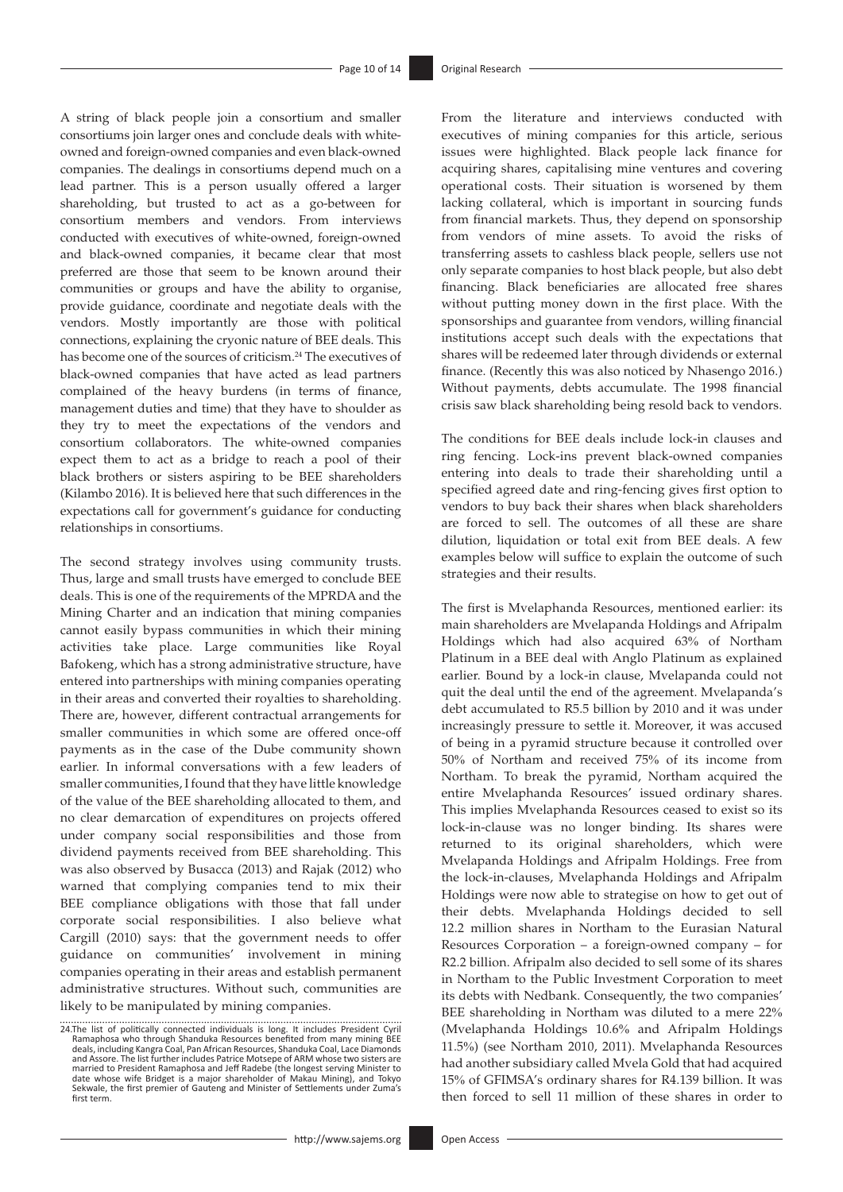A string of black people join a consortium and smaller consortiums join larger ones and conclude deals with whiteowned and foreign-owned companies and even black-owned companies. The dealings in consortiums depend much on a lead partner. This is a person usually offered a larger shareholding, but trusted to act as a go-between for consortium members and vendors. From interviews conducted with executives of white-owned, foreign-owned and black-owned companies, it became clear that most preferred are those that seem to be known around their communities or groups and have the ability to organise, provide guidance, coordinate and negotiate deals with the vendors. Mostly importantly are those with political connections, explaining the cryonic nature of BEE deals. This has become one of the sources of criticism.<sup>24</sup> The executives of black-owned companies that have acted as lead partners complained of the heavy burdens (in terms of finance, management duties and time) that they have to shoulder as they try to meet the expectations of the vendors and consortium collaborators. The white-owned companies expect them to act as a bridge to reach a pool of their black brothers or sisters aspiring to be BEE shareholders (Kilambo 2016). It is believed here that such differences in the expectations call for government's guidance for conducting relationships in consortiums.

The second strategy involves using community trusts. Thus, large and small trusts have emerged to conclude BEE deals. This is one of the requirements of the MPRDA and the Mining Charter and an indication that mining companies cannot easily bypass communities in which their mining activities take place. Large communities like Royal Bafokeng, which has a strong administrative structure, have entered into partnerships with mining companies operating in their areas and converted their royalties to shareholding. There are, however, different contractual arrangements for smaller communities in which some are offered once-off payments as in the case of the Dube community shown earlier. In informal conversations with a few leaders of smaller communities, I found that they have little knowledge of the value of the BEE shareholding allocated to them, and no clear demarcation of expenditures on projects offered under company social responsibilities and those from dividend payments received from BEE shareholding. This was also observed by Busacca (2013) and Rajak (2012) who warned that complying companies tend to mix their BEE compliance obligations with those that fall under corporate social responsibilities. I also believe what Cargill (2010) says: that the government needs to offer guidance on communities' involvement in mining companies operating in their areas and establish permanent administrative structures. Without such, communities are likely to be manipulated by mining companies.

From the literature and interviews conducted with executives of mining companies for this article, serious issues were highlighted. Black people lack finance for acquiring shares, capitalising mine ventures and covering operational costs. Their situation is worsened by them lacking collateral, which is important in sourcing funds from financial markets. Thus, they depend on sponsorship from vendors of mine assets. To avoid the risks of transferring assets to cashless black people, sellers use not only separate companies to host black people, but also debt financing. Black beneficiaries are allocated free shares without putting money down in the first place. With the sponsorships and guarantee from vendors, willing financial institutions accept such deals with the expectations that shares will be redeemed later through dividends or external finance. (Recently this was also noticed by Nhasengo 2016.) Without payments, debts accumulate. The 1998 financial crisis saw black shareholding being resold back to vendors.

The conditions for BEE deals include lock-in clauses and ring fencing. Lock-ins prevent black-owned companies entering into deals to trade their shareholding until a specified agreed date and ring-fencing gives first option to vendors to buy back their shares when black shareholders are forced to sell. The outcomes of all these are share dilution, liquidation or total exit from BEE deals. A few examples below will suffice to explain the outcome of such strategies and their results.

The first is Mvelaphanda Resources, mentioned earlier: its main shareholders are Mvelapanda Holdings and Afripalm Holdings which had also acquired 63% of Northam Platinum in a BEE deal with Anglo Platinum as explained earlier. Bound by a lock-in clause, Mvelapanda could not quit the deal until the end of the agreement. Mvelapanda's debt accumulated to R5.5 billion by 2010 and it was under increasingly pressure to settle it. Moreover, it was accused of being in a pyramid structure because it controlled over 50% of Northam and received 75% of its income from Northam. To break the pyramid, Northam acquired the entire Mvelaphanda Resources' issued ordinary shares. This implies Mvelaphanda Resources ceased to exist so its lock-in-clause was no longer binding. Its shares were returned to its original shareholders, which were Mvelapanda Holdings and Afripalm Holdings. Free from the lock-in-clauses, Mvelaphanda Holdings and Afripalm Holdings were now able to strategise on how to get out of their debts. Mvelaphanda Holdings decided to sell 12.2 million shares in Northam to the Eurasian Natural Resources Corporation – a foreign-owned company – for R2.2 billion. Afripalm also decided to sell some of its shares in Northam to the Public Investment Corporation to meet its debts with Nedbank. Consequently, the two companies' BEE shareholding in Northam was diluted to a mere 22% (Mvelaphanda Holdings 10.6% and Afripalm Holdings 11.5%) (see Northam 2010, 2011). Mvelaphanda Resources had another subsidiary called Mvela Gold that had acquired 15% of GFIMSA's ordinary shares for R4.139 billion. It was then forced to sell 11 million of these shares in order to

<sup>24.</sup>The list of politically connected individuals is long. It includes President Cyril<br>Ramaphosa who through Shanduka Resources benefited from many mining BEE<br>deals, including Kangra Coal, Pan African Resources, Shanduka Co and Assore. The list further includes Patrice Motsepe of ARM whose two sisters are<br>married to President Ramaphosa and Jeff Radebe (the longest serving Minister to<br>date whose wife Bridget is a major shareholder of Makau Min Sekwale, the first premier of Gauteng and Minister of Settlements under Zuma's first term.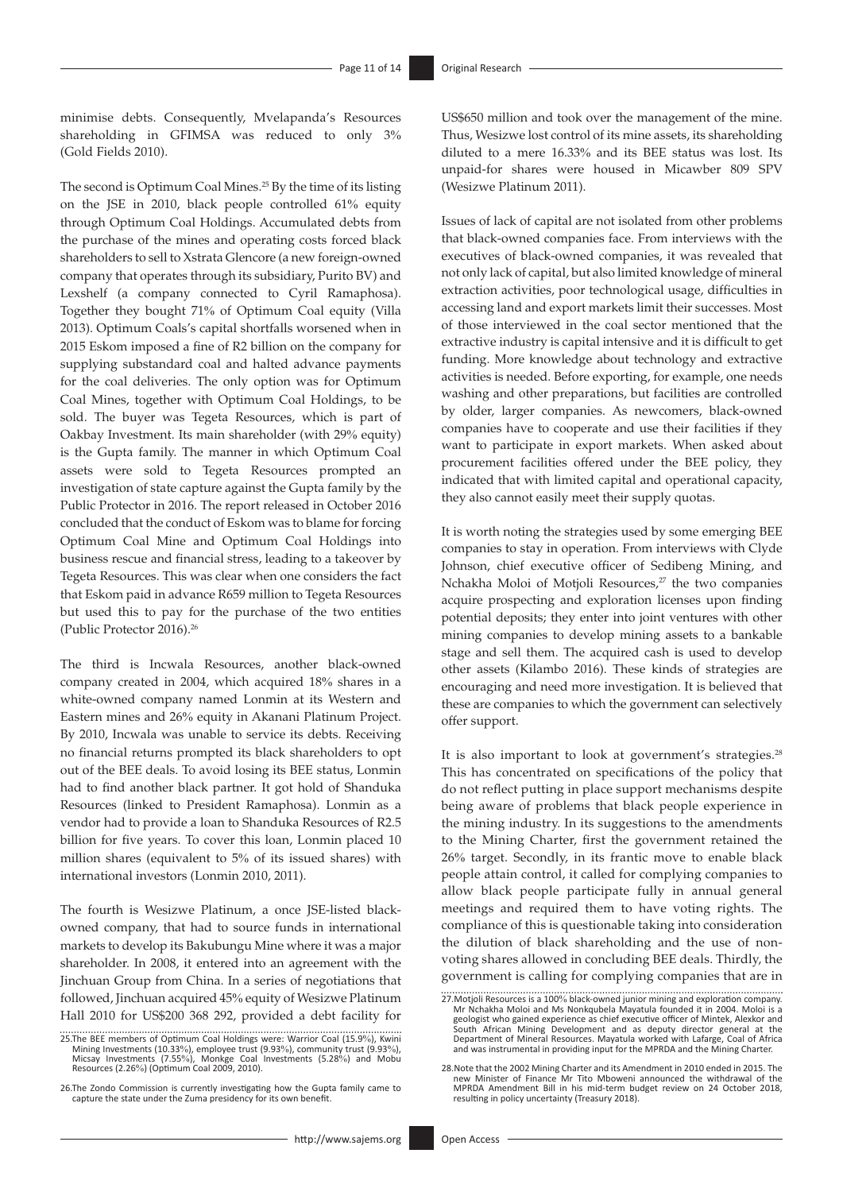minimise debts. Consequently, Mvelapanda's Resources shareholding in GFIMSA was reduced to only 3% (Gold Fields 2010).

The second is Optimum Coal Mines.<sup>25</sup> By the time of its listing on the JSE in 2010, black people controlled 61% equity through Optimum Coal Holdings. Accumulated debts from the purchase of the mines and operating costs forced black shareholders to sell to Xstrata Glencore (a new foreign-owned company that operates through its subsidiary, Purito BV) and Lexshelf (a company connected to Cyril Ramaphosa). Together they bought 71% of Optimum Coal equity (Villa 2013). Optimum Coals's capital shortfalls worsened when in 2015 Eskom imposed a fine of R2 billion on the company for supplying substandard coal and halted advance payments for the coal deliveries. The only option was for Optimum Coal Mines, together with Optimum Coal Holdings, to be sold. The buyer was Tegeta Resources, which is part of Oakbay Investment. Its main shareholder (with 29% equity) is the Gupta family. The manner in which Optimum Coal assets were sold to Tegeta Resources prompted an investigation of state capture against the Gupta family by the Public Protector in 2016. The report released in October 2016 concluded that the conduct of Eskom was to blame for forcing Optimum Coal Mine and Optimum Coal Holdings into business rescue and financial stress, leading to a takeover by Tegeta Resources. This was clear when one considers the fact that Eskom paid in advance R659 million to Tegeta Resources but used this to pay for the purchase of the two entities (Public Protector 2016).26

The third is Incwala Resources, another black-owned company created in 2004, which acquired 18% shares in a white-owned company named Lonmin at its Western and Eastern mines and 26% equity in Akanani Platinum Project. By 2010, Incwala was unable to service its debts. Receiving no financial returns prompted its black shareholders to opt out of the BEE deals. To avoid losing its BEE status, Lonmin had to find another black partner. It got hold of Shanduka Resources (linked to President Ramaphosa). Lonmin as a vendor had to provide a loan to Shanduka Resources of R2.5 billion for five years. To cover this loan, Lonmin placed 10 million shares (equivalent to 5% of its issued shares) with international investors (Lonmin 2010, 2011).

The fourth is Wesizwe Platinum, a once JSE-listed blackowned company, that had to source funds in international markets to develop its Bakubungu Mine where it was a major shareholder. In 2008, it entered into an agreement with the Jinchuan Group from China. In a series of negotiations that followed, Jinchuan acquired 45% equity of Wesizwe Platinum Hall 2010 for US\$200 368 292, provided a debt facility for

25.The BEE members of Optimum Coal Holdings were: Warrior Coal (15.9%), Kwini<br>Mining Investments (10.33%), employee trust (9.93%), community trust (9.93%),<br>Micsay Investments (7.55%), Monkge Coal Investments (5.28%) and Mo

26.The Zondo Commission is currently investigating how the Gupta family came to capture the state under the Zuma presidency for its own benefit.

US\$650 million and took over the management of the mine. Thus, Wesizwe lost control of its mine assets, its shareholding diluted to a mere 16.33% and its BEE status was lost. Its unpaid-for shares were housed in Micawber 809 SPV (Wesizwe Platinum 2011).

Issues of lack of capital are not isolated from other problems that black-owned companies face. From interviews with the executives of black-owned companies, it was revealed that not only lack of capital, but also limited knowledge of mineral extraction activities, poor technological usage, difficulties in accessing land and export markets limit their successes. Most of those interviewed in the coal sector mentioned that the extractive industry is capital intensive and it is difficult to get funding. More knowledge about technology and extractive activities is needed. Before exporting, for example, one needs washing and other preparations, but facilities are controlled by older, larger companies. As newcomers, black-owned companies have to cooperate and use their facilities if they want to participate in export markets. When asked about procurement facilities offered under the BEE policy, they indicated that with limited capital and operational capacity, they also cannot easily meet their supply quotas.

It is worth noting the strategies used by some emerging BEE companies to stay in operation. From interviews with Clyde Johnson, chief executive officer of Sedibeng Mining, and Nchakha Moloi of Motjoli Resources,<sup>27</sup> the two companies acquire prospecting and exploration licenses upon finding potential deposits; they enter into joint ventures with other mining companies to develop mining assets to a bankable stage and sell them. The acquired cash is used to develop other assets (Kilambo 2016). These kinds of strategies are encouraging and need more investigation. It is believed that these are companies to which the government can selectively offer support.

It is also important to look at government's strategies.<sup>28</sup> This has concentrated on specifications of the policy that do not reflect putting in place support mechanisms despite being aware of problems that black people experience in the mining industry. In its suggestions to the amendments to the Mining Charter, first the government retained the 26% target. Secondly, in its frantic move to enable black people attain control, it called for complying companies to allow black people participate fully in annual general meetings and required them to have voting rights. The compliance of this is questionable taking into consideration the dilution of black shareholding and the use of nonvoting shares allowed in concluding BEE deals. Thirdly, the government is calling for complying companies that are in

<sup>27.</sup>Motjoli Resources is a 100% black-owned junior mining and exploration company. Mr Nchakha Moloi and Ms Nonkqubela Mayatula founded it in 2004. Moloi is a geologist who gained experience as chief executive officer of Mintek, Alexkor and<br>South African Mining Development and as deputy director general at the<br>Department of Mineral Resources. Mayatula worked with Lafarge, Coal o

<sup>28.</sup> Note that the 2002 Mining Charter and its Amendment in 2010 ended in 2015. The<br>new Minister of Finance Mr Tito Mboweni announced the withdrawal of the<br>MPRDA Amendment Bill in his mid-term budget review on 24 October 20 resulting in policy uncertainty (Treasury 2018).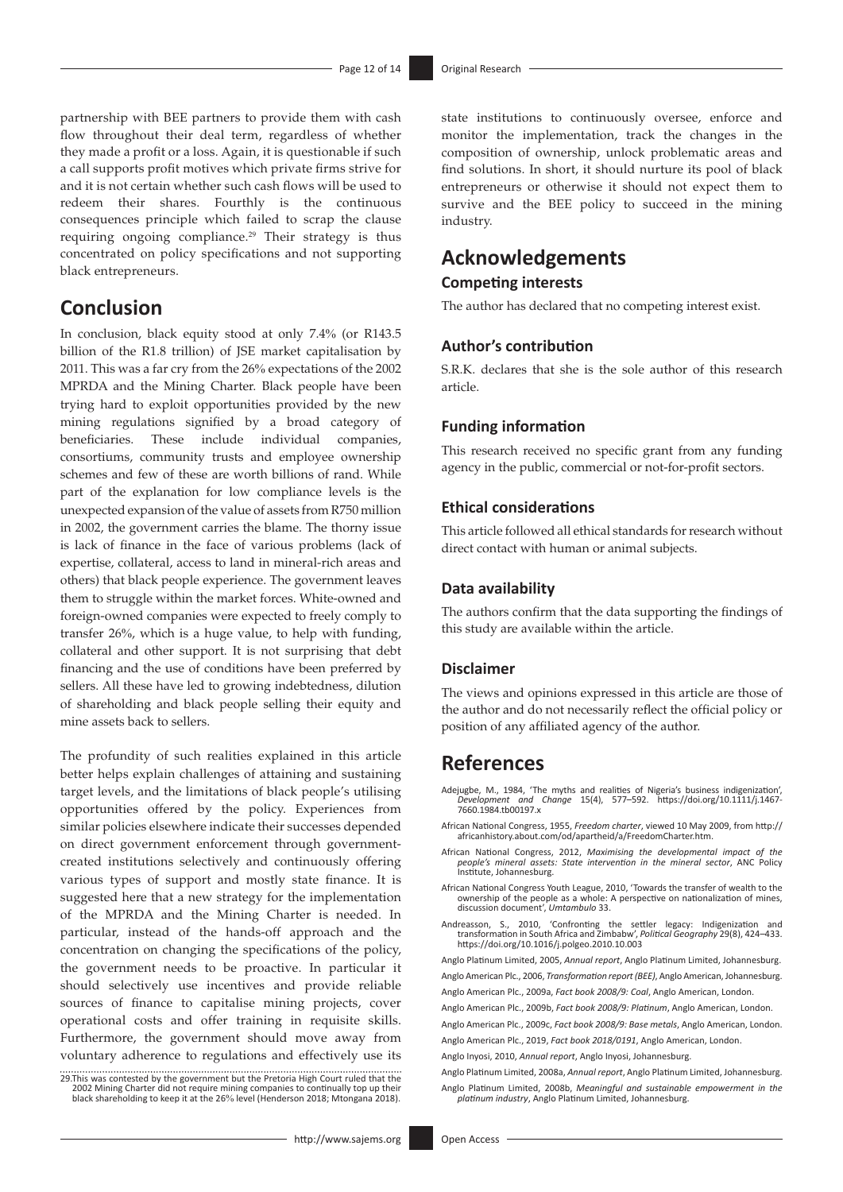partnership with BEE partners to provide them with cash flow throughout their deal term, regardless of whether they made a profit or a loss. Again, it is questionable if such a call supports profit motives which private firms strive for and it is not certain whether such cash flows will be used to redeem their shares. Fourthly is the continuous consequences principle which failed to scrap the clause requiring ongoing compliance.<sup>29</sup> Their strategy is thus concentrated on policy specifications and not supporting black entrepreneurs.

### **Conclusion**

In conclusion, black equity stood at only 7.4% (or R143.5 billion of the R1.8 trillion) of JSE market capitalisation by 2011. This was a far cry from the 26% expectations of the 2002 MPRDA and the Mining Charter. Black people have been trying hard to exploit opportunities provided by the new mining regulations signified by a broad category of beneficiaries. These include individual companies, consortiums, community trusts and employee ownership schemes and few of these are worth billions of rand. While part of the explanation for low compliance levels is the unexpected expansion of the value of assets from R750 million in 2002, the government carries the blame. The thorny issue is lack of finance in the face of various problems (lack of expertise, collateral, access to land in mineral-rich areas and others) that black people experience. The government leaves them to struggle within the market forces. White-owned and foreign-owned companies were expected to freely comply to transfer 26%, which is a huge value, to help with funding, collateral and other support. It is not surprising that debt financing and the use of conditions have been preferred by sellers. All these have led to growing indebtedness, dilution of shareholding and black people selling their equity and mine assets back to sellers.

The profundity of such realities explained in this article better helps explain challenges of attaining and sustaining target levels, and the limitations of black people's utilising opportunities offered by the policy. Experiences from similar policies elsewhere indicate their successes depended on direct government enforcement through governmentcreated institutions selectively and continuously offering various types of support and mostly state finance. It is suggested here that a new strategy for the implementation of the MPRDA and the Mining Charter is needed. In particular, instead of the hands-off approach and the concentration on changing the specifications of the policy, the government needs to be proactive. In particular it should selectively use incentives and provide reliable sources of finance to capitalise mining projects, cover operational costs and offer training in requisite skills. Furthermore, the government should move away from voluntary adherence to regulations and effectively use its

29.This was contested by the government but the Pretoria High Court ruled that the<br>2002 Mining Charter did not require mining companies to continually top up their<br>- black shareholding to keep it at the 26% level (Henderso

state institutions to continuously oversee, enforce and monitor the implementation, track the changes in the composition of ownership, unlock problematic areas and find solutions. In short, it should nurture its pool of black entrepreneurs or otherwise it should not expect them to survive and the BEE policy to succeed in the mining industry.

## **Acknowledgements**

### **Competing interests**

The author has declared that no competing interest exist.

### **Author's contribution**

S.R.K. declares that she is the sole author of this research article.

### **Funding information**

This research received no specific grant from any funding agency in the public, commercial or not-for-profit sectors.

### **Ethical considerations**

This article followed all ethical standards for research without direct contact with human or animal subjects.

### **Data availability**

The authors confirm that the data supporting the findings of this study are available within the article.

#### **Disclaimer**

The views and opinions expressed in this article are those of the author and do not necessarily reflect the official policy or position of any affiliated agency of the author.

### **References**

- Adejugbe, M., 1984, 'The myths and realities of Nigeria's business indigenization', *Development and Change* 15(4), 577–592. [https://doi.org/10.1111/j.1467-](https://doi.org/10.1111/j.1467-7660.1984.tb00197.x) [7660.1984.tb00197.x](https://doi.org/10.1111/j.1467-7660.1984.tb00197.x)
- African National Congress, 1955, *Freedom charter*, viewed 10 May 2009, from [http://](http://africanhistory.about.com/od/apartheid/a/FreedomCharter.htm) [africanhistory.about.com/od/apartheid/a/FreedomCharter.htm](http://africanhistory.about.com/od/apartheid/a/FreedomCharter.htm).
- African National Congress, 2012, *Maximising the developmental impact of the people's mineral assets: State intervention in the mineral sector*, ANC Policy Institute, Johannesburg.
- African National Congress Youth League, 2010, 'Towards the transfer of wealth to the ownership of the people as a whole: A perspective on nationalization of mines, discussion document', *Umtambulo* 33.
- Andreasson, S., 2010, 'Confronting the settler legacy: Indigenization and transformation in South Africa and Zimbabw', *Political Geography* 29(8), 424–433. <https://doi.org/10.1016/j.polgeo.2010.10.003>

Anglo Platinum Limited, 2005, *Annual report*, Anglo Platinum Limited, Johannesburg. Anglo American Plc., 2006, *Transformation report (BEE)*, Anglo American, Johannesburg.

Anglo American Plc., 2009a, *Fact book 2008/9: Coal*, Anglo American, London.

Anglo American Plc., 2009b, *Fact book 2008/9: Platinum*, Anglo American, London. Anglo American Plc., 2009c, *Fact book 2008/9: Base metals*, Anglo American, London.

Anglo American Plc., 2019, *Fact book 2018/0191*, Anglo American, London.

Anglo Inyosi, 2010, *Annual report*, Anglo Inyosi, Johannesburg.

*platinum industry*, Anglo Platinum Limited, Johannesburg.

Anglo Platinum Limited, 2008a, *Annual report*, Anglo Platinum Limited, Johannesburg. Anglo Platinum Limited, 2008b, *Meaningful and sustainable empowerment in the*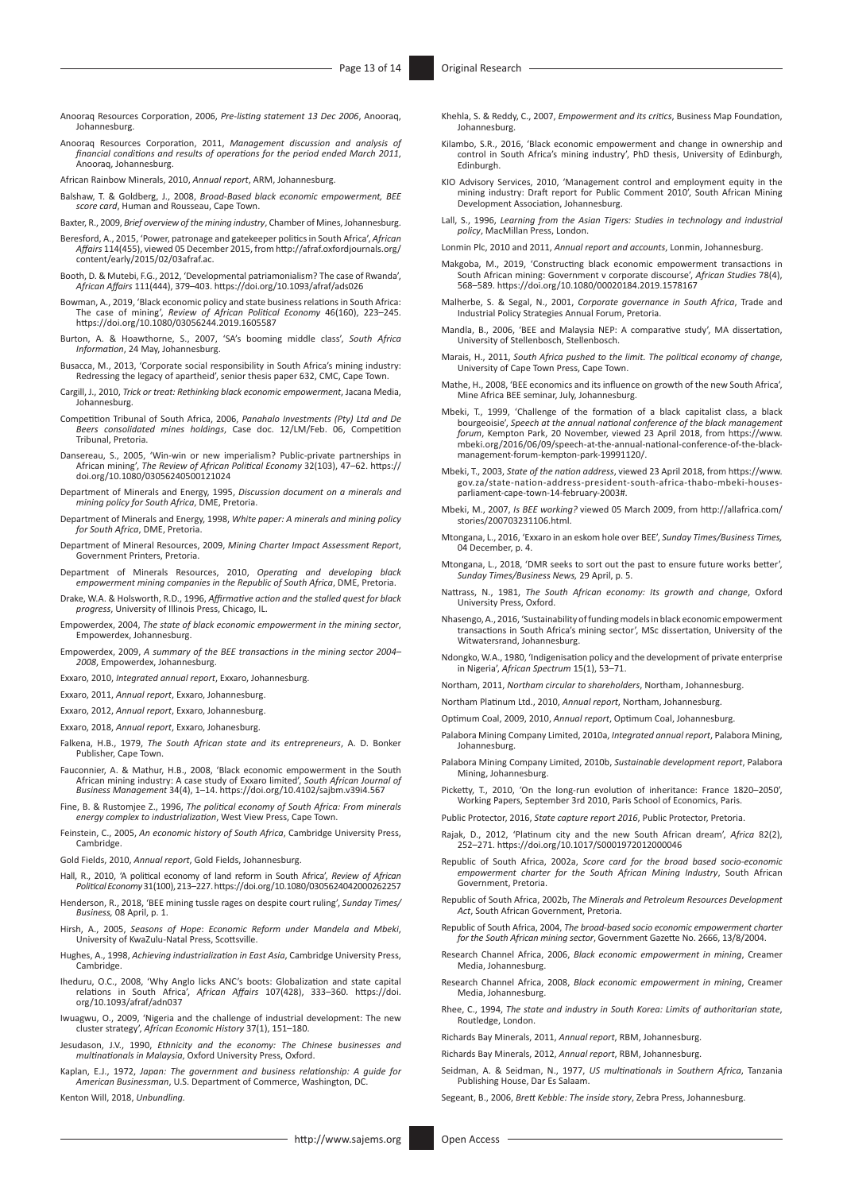- Anooraq Resources Corporation, 2006, *Pre-listing statement 13 Dec 2006*, Anooraq, Johannesburg.
- Anooraq Resources Corporation, 2011, *Management discussion and analysis of financial conditions and results of operations for the period ended March 2011*, Anooraq, Johannesburg.
- African Rainbow Minerals, 2010, *Annual report*, ARM, Johannesburg.
- Balshaw, T. & Goldberg, J., 2008, *Broad-Based black economic empowerment, BEE score card*, Human and Rousseau, Cape Town.
- Baxter, R., 2009, *Brief overview of the mining industry*, Chamber of Mines, Johannesburg.
- Beresford, A., 2015, 'Power, patronage and gatekeeper politics in South Africa', *African Affairs* 114(455), viewed 05 December 2015, from [http://afraf.oxfordjournals.org/](http://afraf.oxfordjournals.org/content/early/2015/02/03afraf.ac) [content/early/2015/02/03afraf.ac.](http://afraf.oxfordjournals.org/content/early/2015/02/03afraf.ac)
- Booth, D. & Mutebi, F.G., 2012, 'Developmental patriamonialism? The case of Rwanda', *African Affairs* 111(444), 379–403.<https://doi.org/10.1093/afraf/ads026>
- Bowman, A., 2019, 'Black economic policy and state business relations in South Africa: The case of mining', *Review of African Political Economy* 46(160), 223–245. <https://doi.org/10.1080/03056244.2019.1605587>
- Burton, A. & Hoawthorne, S., 2007, 'SA's booming middle class', *South Africa Information*, 24 May, Johannesburg.
- Busacca, M., 2013, 'Corporate social responsibility in South Africa's mining industry: Redressing the legacy of apartheid', senior thesis paper 632, CMC, Cape Town.
- Cargill, J., 2010, *Trick or treat: Rethinking black economic empowerment*, Jacana Media, Johannesburg.
- Competition Tribunal of South Africa, 2006, *Panahalo Investments (Pty) Ltd and De Beers consolidated mines holdings*, Case doc. 12/LM/Feb. 06, Competition Tribunal, Pretoria.
- Dansereau, S., 2005, 'Win-win or new imperialism? Public-private partnerships in African mining', *The Review of African Political Economy* 32(103), 47–62. [https://](https://doi.org/10.1080/03056240500121024) [doi.org/10.1080/03056240500121024](https://doi.org/10.1080/03056240500121024)
- Department of Minerals and Energy, 1995, *Discussion document on a minerals and mining policy for South Africa*, DME, Pretoria.
- Department of Minerals and Energy, 1998, *White paper: A minerals and mining policy for South Africa*, DME, Pretoria.
- Department of Mineral Resources, 2009, *Mining Charter Impact Assessment Report*, Government Printers, Pretoria.
- Department of Minerals Resources, 2010, *Operating and developing black empowerment mining companies in the Republic of South Africa*, DME, Pretoria.
- Drake, W.A. & Holsworth, R.D., 1996, *Affirmative action and the stalled quest for black progress*, University of Illinois Press, Chicago, IL.
- Empowerdex, 2004, *The state of black economic empowerment in the mining sector*, Empowerdex, Johannesburg.
- Empowerdex, 2009, *A summary of the BEE transactions in the mining sector 2004– 2008*, Empowerdex, Johannesburg.
- Exxaro, 2010, *Integrated annual report*, Exxaro, Johannesburg.
- Exxaro, 2011, *Annual report*, Exxaro, Johannesburg.
- Exxaro, 2012, *Annual report*, Exxaro, Johannesburg.
- Exxaro, 2018, *Annual report*, Exxaro, Johanesburg.
- Falkena, H.B., 1979, *The South African state and its entrepreneurs*, A. D. Bonker Publisher, Cape Town.
- Fauconnier, A. & Mathur, H.B., 2008, 'Black economic empowerment in the South African mining industry: A case study of Exxaro limited', *South African Journal of Business Management* 34(4), 1–14.<https://doi.org/10.4102/sajbm.v39i4.567>
- Fine, B. & Rustomjee Z., 1996, *The political economy of South Africa: From minerals energy complex to industrialization*, West View Press, Cape Town.
- Feinstein, C., 2005, *An economic history of South Africa*, Cambridge University Press, Cambridge.
- Gold Fields, 2010, *Annual report*, Gold Fields, Johannesburg.
- Hall, R., 2010, 'A political economy of land reform in South Africa', *Review of African Political Economy* 31(100), 213–227.<https://doi.org/10.1080/0305624042000262257>
- Henderson, R., 2018, 'BEE mining tussle rages on despite court ruling', *Sunday Times/ Business,* 08 April, p. 1.
- Hirsh, A., 2005, *Seasons of Hope*: *Economic Reform under Mandela and Mbeki*, University of KwaZulu-Natal Press, Scottsville.
- Hughes, A., 1998, *Achieving industrialization in East Asia*, Cambridge University Press, Cambridge.
- Iheduru, O.C., 2008, 'Why Anglo licks ANC's boots: Globalization and state capital relations in South Africa', *African Affairs* 107(428), 333–360. [https://doi.](https://doi.org/10.1093/afraf/adn037) [org/10.1093/afraf/adn037](https://doi.org/10.1093/afraf/adn037)
- Iwuagwu, O., 2009, 'Nigeria and the challenge of industrial development: The new cluster strategy', *African Economic History* 37(1), 151–180.
- Jesudason, J.V., 1990, *Ethnicity and the economy: The Chinese businesses and multinationals in Malaysia*, Oxford University Press, Oxford.
- Kaplan, E.J., 1972, *Japan: The government and business relationship: A guide for American Businessman*, U.S. Department of Commerce, Washington, DC.
- Kenton Will, 2018, *Unbundling.*
- Khehla, S. & Reddy, C., 2007, *Empowerment and its critics*, Business Map Foundation, Johannesburg.
- Kilambo, S.R., 2016, 'Black economic empowerment and change in ownership and control in South Africa's mining industry', PhD thesis, University of Edinburgh, Edinburgh.
- KIO Advisory Services, 2010, 'Management control and employment equity in the mining industry: Draft report for Public Comment 2010', South African Mining Development Association, Johannesburg.
- Lall, S., 1996, *Learning from the Asian Tigers: Studies in technology and industrial policy*, MacMillan Press, London.
- Lonmin Plc, 2010 and 2011, *Annual report and accounts*, Lonmin, Johannesburg.
- Makgoba, M., 2019, 'Constructing black economic empowerment transactions in South African mining: Government v corporate discourse', *African Studies* 78(4), 568–589.<https://doi.org/10.1080/00020184.2019.1578167>
- Malherbe, S. & Segal, N., 2001, *Corporate governance in South Africa*, Trade and Industrial Policy Strategies Annual Forum, Pretoria.
- Mandla, B., 2006, 'BEE and Malaysia NEP: A comparative study', MA dissertation, University of Stellenbosch, Stellenbosch.
- Marais, H., 2011, *South Africa pushed to the limit. The political economy of change*, University of Cape Town Press, Cape Town.
- Mathe, H., 2008, 'BEE economics and its influence on growth of the new South Africa', Mine Africa BEE seminar, July, Johannesburg.
- Mbeki, T., 1999, 'Challenge of the formation of a black capitalist class, a black bourgeoisie', *Speech at the annual national conference of the black management forum*, Kempton Park, 20 November, viewed 23 April 2018, from [https://www.](https://www.mbeki.org/2016/06/09/speech-at-the-annual-national-conference-of-the-black-management-forum-kempton-park-19991120/) [mbeki.org/2016/06/09/speech-at-the-annual-national-conference-of-the-black](https://www.mbeki.org/2016/06/09/speech-at-the-annual-national-conference-of-the-black-management-forum-kempton-park-19991120/)[management-forum-kempton-park-19991120/](https://www.mbeki.org/2016/06/09/speech-at-the-annual-national-conference-of-the-black-management-forum-kempton-park-19991120/).
- Mbeki, T., 2003, *State of the nation address*, viewed 23 April 2018, from [https://www.](https://www.gov.za/state-nation-address-president-south-africa-thabo-mbeki-houses-parliament-cape-town-14-february-2003#) [gov.za/state-nation-address-president-south-africa-thabo-mbeki-houses](https://www.gov.za/state-nation-address-president-south-africa-thabo-mbeki-houses-parliament-cape-town-14-february-2003#)[parliament-cape-town-14-february-2003#.](https://www.gov.za/state-nation-address-president-south-africa-thabo-mbeki-houses-parliament-cape-town-14-february-2003#)
- Mbeki, M., 2007, *Is BEE working?* viewed 05 March 2009, from [http://allafrica.com/](http://allafrica.com/stories/200703231106.html) [stories/200703231106.html](http://allafrica.com/stories/200703231106.html).
- Mtongana, L., 2016, 'Exxaro in an eskom hole over BEE', *Sunday Times/Business Times,*  04 December, p. 4.
- Mtongana, L., 2018, 'DMR seeks to sort out the past to ensure future works better', *Sunday Times/Business News,* 29 April, p. 5.
- Nattrass, N., 1981, *The South African economy: Its growth and change*, Oxford University Press, Oxford.
- Nhasengo, A., 2016, 'Sustainability of funding models in black economic empowerment transactions in South Africa's mining sector', MSc dissertation, University of the Witwatersrand, Johannesburg.
- Ndongko, W.A., 1980, 'Indigenisation policy and the development of private enterprise in Nigeria', *African Spectrum* 15(1), 53–71.
- Northam, 2011, *Northam circular to shareholders*, Northam, Johannesburg.
- Northam Platinum Ltd., 2010, *Annual report*, Northam, Johannesburg.
- Optimum Coal, 2009, 2010, *Annual report*, Optimum Coal, Johannesburg.
- Palabora Mining Company Limited, 2010a, *Integrated annual report*, Palabora Mining, Johannesburg.
- Palabora Mining Company Limited, 2010b, *Sustainable development report*, Palabora Mining, Johannesburg.
- Picketty, T., 2010, 'On the long-run evolution of inheritance: France 1820–2050', Working Papers, September 3rd 2010, Paris School of Economics, Paris.
- Public Protector, 2016, *State capture report 2016*, Public Protector, Pretoria.
- Rajak, D., 2012, 'Platinum city and the new South African dream', *Africa* 82(2), 252–271.<https://doi.org/10.1017/S0001972012000046>
- Republic of South Africa, 2002a, *Score card for the broad based socio-economic empowerment charter for the South African Mining Industry*, South African Government, Pretoria.
- Republic of South Africa, 2002b, *The Minerals and Petroleum Resources Development Act*, South African Government, Pretoria.
- Republic of South Africa, 2004, *The broad-based socio economic empowerment charter for the South African mining sector*, Government Gazette No. 2666, 13/8/2004.
- Research Channel Africa, 2006, *Black economic empowerment in mining*, Creamer Media, Johannesburg.
- Research Channel Africa, 2008, *Black economic empowerment in mining*, Creamer Media, Johannesburg.
- Rhee, C., 1994, *The state and industry in South Korea: Limits of authoritarian state*, Routledge, London.
- Richards Bay Minerals, 2011, *Annual report*, RBM, Johannesburg.
- Richards Bay Minerals, 2012, *Annual report*, RBM, Johannesburg.
- Seidman, A. & Seidman, N., 1977, *US multinationals in Southern Africa*, Tanzania Publishing House, Dar Es Salaam.
- Segeant, B., 2006, *Brett Kebble: The inside story*, Zebra Press, Johannesburg.